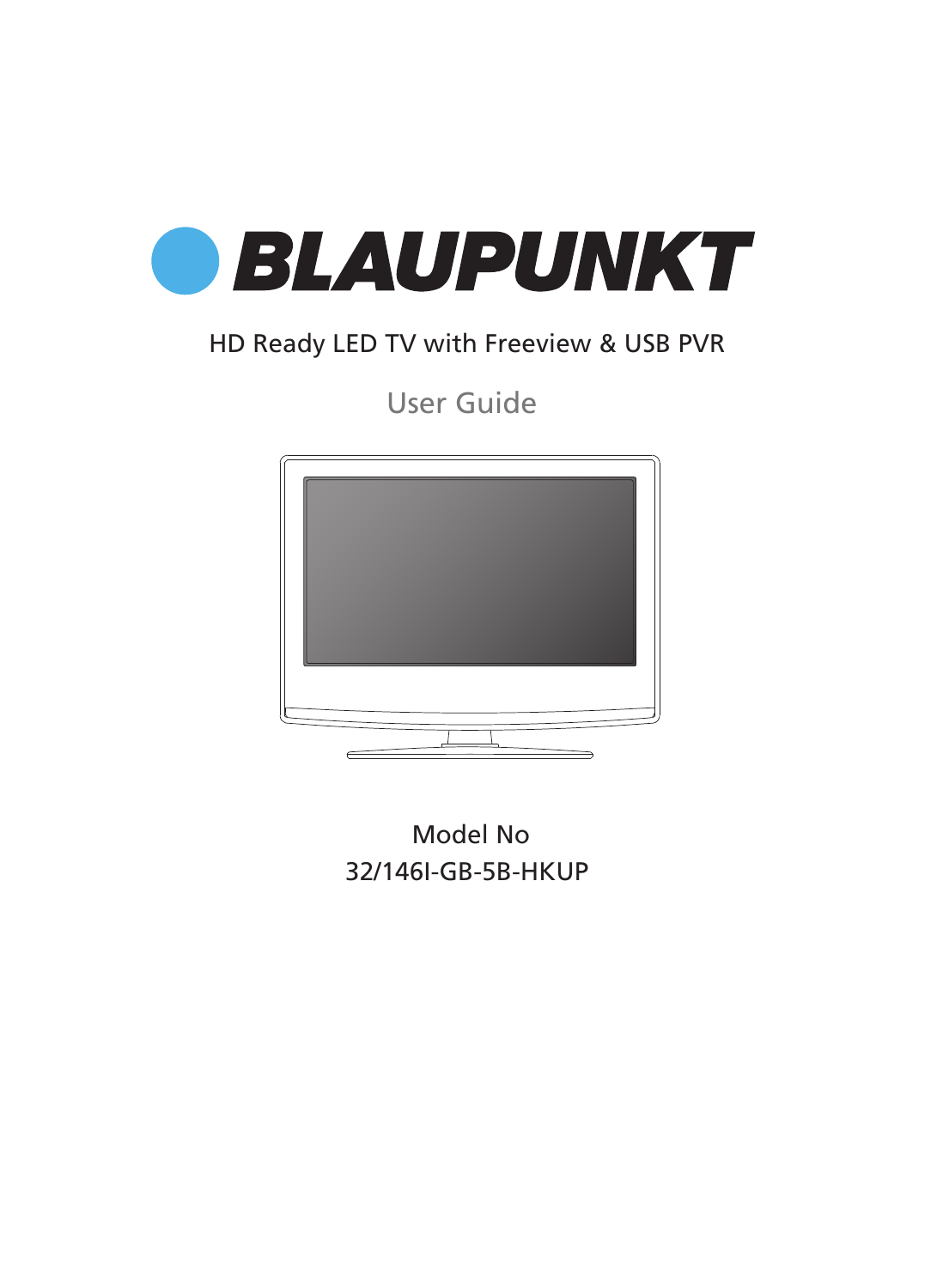

### HD Ready LED TV with Freeview & USB PVR

User Guide



32/146I-GB-5B-HKUP Model No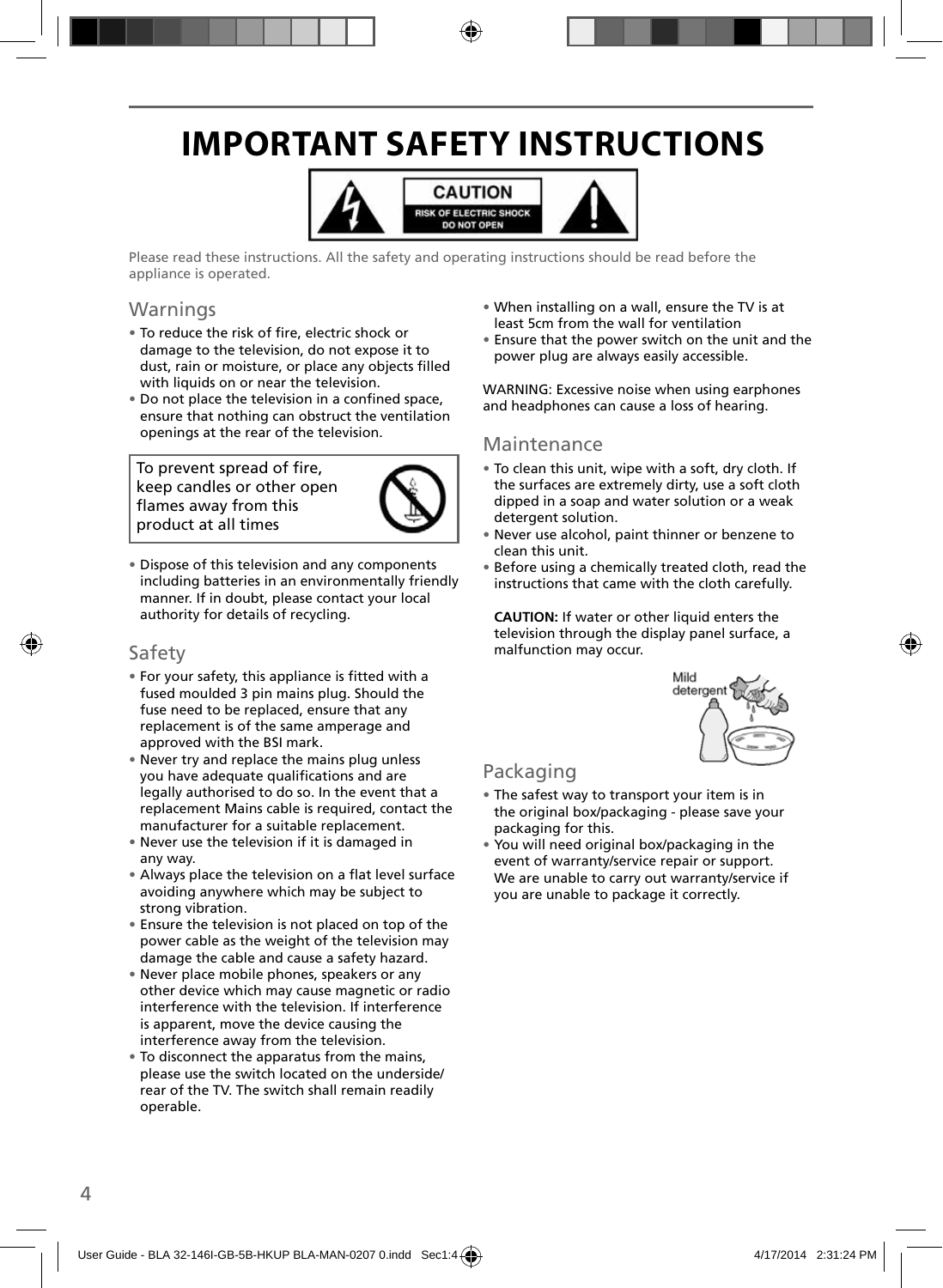## **IMPORTANT SAFETY INSTRUCTIONS**



Please read these instructions. All the safety and operating instructions should be read before the appliance is operated.

### Warnings

- To reduce the risk of fire, electric shock or damage to the television, do not expose it to dust, rain or moisture, or place any objects filled with liquids on or near the television.
- Do not place the television in a confined space, ensure that nothing can obstruct the ventilation openings at the rear of the television.

To prevent spread of fire, keep candles or other open flames away from this product at all times



• Dispose of this television and any components including batteries in an environmentally friendly manner. If in doubt, please contact your local authority for details of recycling.

### Safety

- For your safety, this appliance is fitted with a fused moulded 3 pin mains plug. Should the fuse need to be replaced, ensure that any replacement is of the same amperage and approved with the BSI mark.
- Never try and replace the mains plug unless you have adequate qualifications and are legally authorised to do so. In the event that a replacement Mains cable is required, contact the manufacturer for a suitable replacement.
- Never use the television if it is damaged in any way.
- Always place the television on a flat level surface avoiding anywhere which may be subject to strong vibration.
- Ensure the television is not placed on top of the power cable as the weight of the television may damage the cable and cause a safety hazard.
- Never place mobile phones, speakers or any other device which may cause magnetic or radio interference with the television. If interference is apparent, move the device causing the interference away from the television.
- To disconnect the apparatus from the mains, please use the switch located on the underside/ rear of the TV. The switch shall remain readily operable.
- When installing on a wall, ensure the TV is at least 5cm from the wall for ventilation
- Ensure that the power switch on the unit and the power plug are always easily accessible.

WARNING: Excessive noise when using earphones and headphones can cause a loss of hearing.

#### Maintenance

- To clean this unit, wipe with a soft, dry cloth. If the surfaces are extremely dirty, use a soft cloth dipped in a soap and water solution or a weak detergent solution.
- Never use alcohol, paint thinner or benzene to clean this unit.
- Before using a chemically treated cloth, read the instructions that came with the cloth carefully.

**CAUTION:** If water or other liquid enters the television through the display panel surface, a malfunction may occur.



### Packaging

- The safest way to transport your item is in the original box/packaging - please save your packaging for this.
- You will need original box/packaging in the event of warranty/service repair or support. We are unable to carry out warranty/service if you are unable to package it correctly.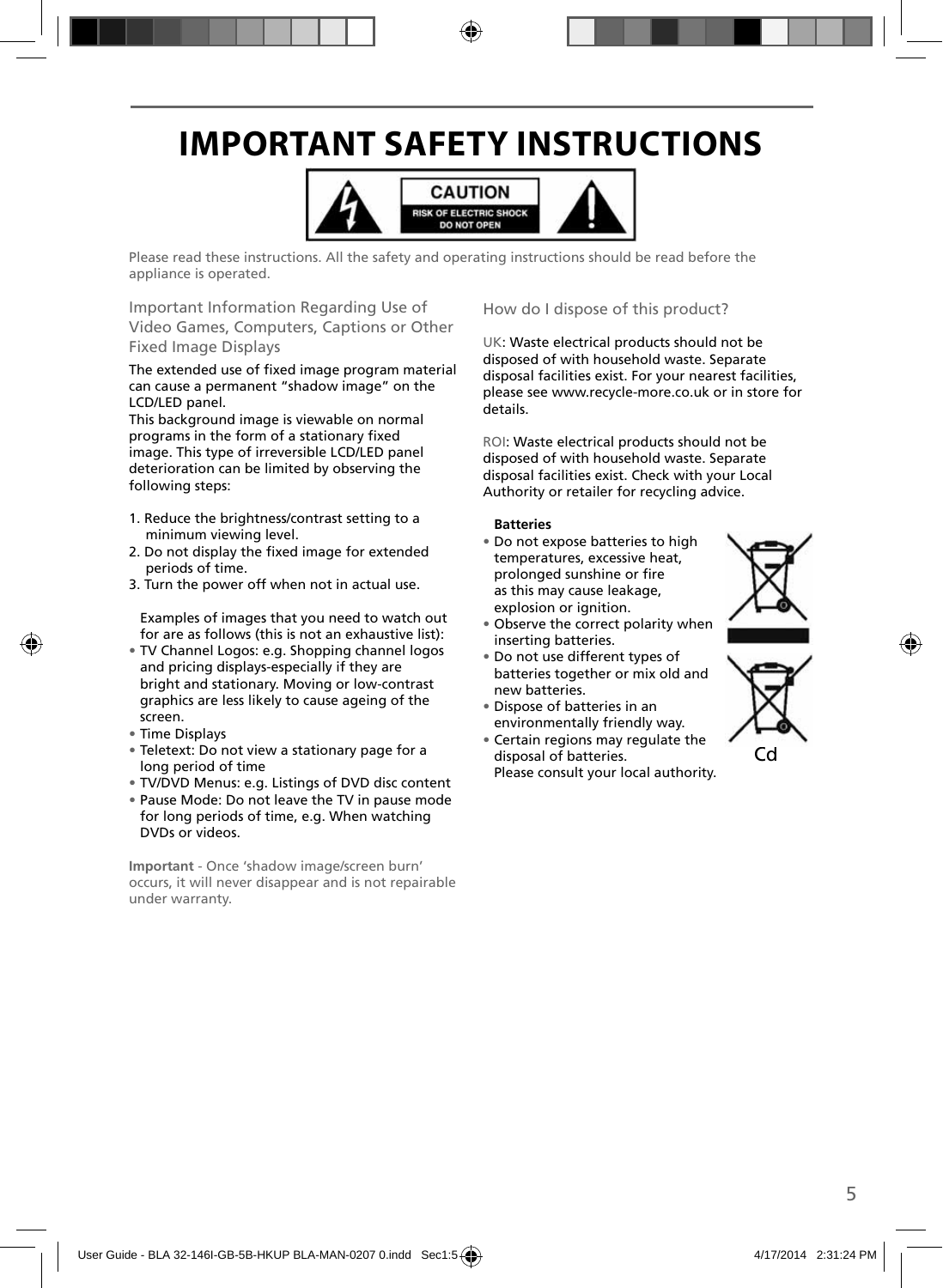## **IMPORTANT SAFETY INSTRUCTIONS**



Please read these instructions. All the safety and operating instructions should be read before the appliance is operated.

Important Information Regarding Use of Video Games, Computers, Captions or Other Fixed Image Displays

The extended use of fixed image program material can cause a permanent "shadow image" on the LCD/LED panel.

This background image is viewable on normal programs in the form of a stationary fixed image. This type of irreversible LCD/LED panel deterioration can be limited by observing the following steps:

- 1. Reduce the brightness/contrast setting to a minimum viewing level.
- 2. Do not display the fixed image for extended periods of time.
- 3. Turn the power off when not in actual use.

Examples of images that you need to watch out for are as follows (this is not an exhaustive list):

- TV Channel Logos: e.g. Shopping channel logos and pricing displays-especially if they are bright and stationary. Moving or low-contrast graphics are less likely to cause ageing of the screen.
- Time Displays
- Teletext: Do not view a stationary page for a long period of time
- TV/DVD Menus: e.g. Listings of DVD disc content
- Pause Mode: Do not leave the TV in pause mode for long periods of time, e.g. When watching DVDs or videos.

**Important** - Once 'shadow image/screen burn' occurs, it will never disappear and is not repairable under warranty.

How do I dispose of this product?

UK: Waste electrical products should not be disposed of with household waste. Separate disposal facilities exist. For your nearest facilities, please see www.recycle-more.co.uk or in store for details.

ROI: Waste electrical products should not be disposed of with household waste. Separate disposal facilities exist. Check with your Local Authority or retailer for recycling advice.

#### **Batteries**

• Do not expose batteries to high temperatures, excessive heat, prolonged sunshine or fire as this may cause leakage, explosion or ignition.



- Observe the correct polarity when inserting batteries.
- Do not use different types of batteries together or mix old and new batteries.
- Dispose of batteries in an environmentally friendly way.
- Certain regions may regulate the disposal of batteries. Please consult your local authority.



Cd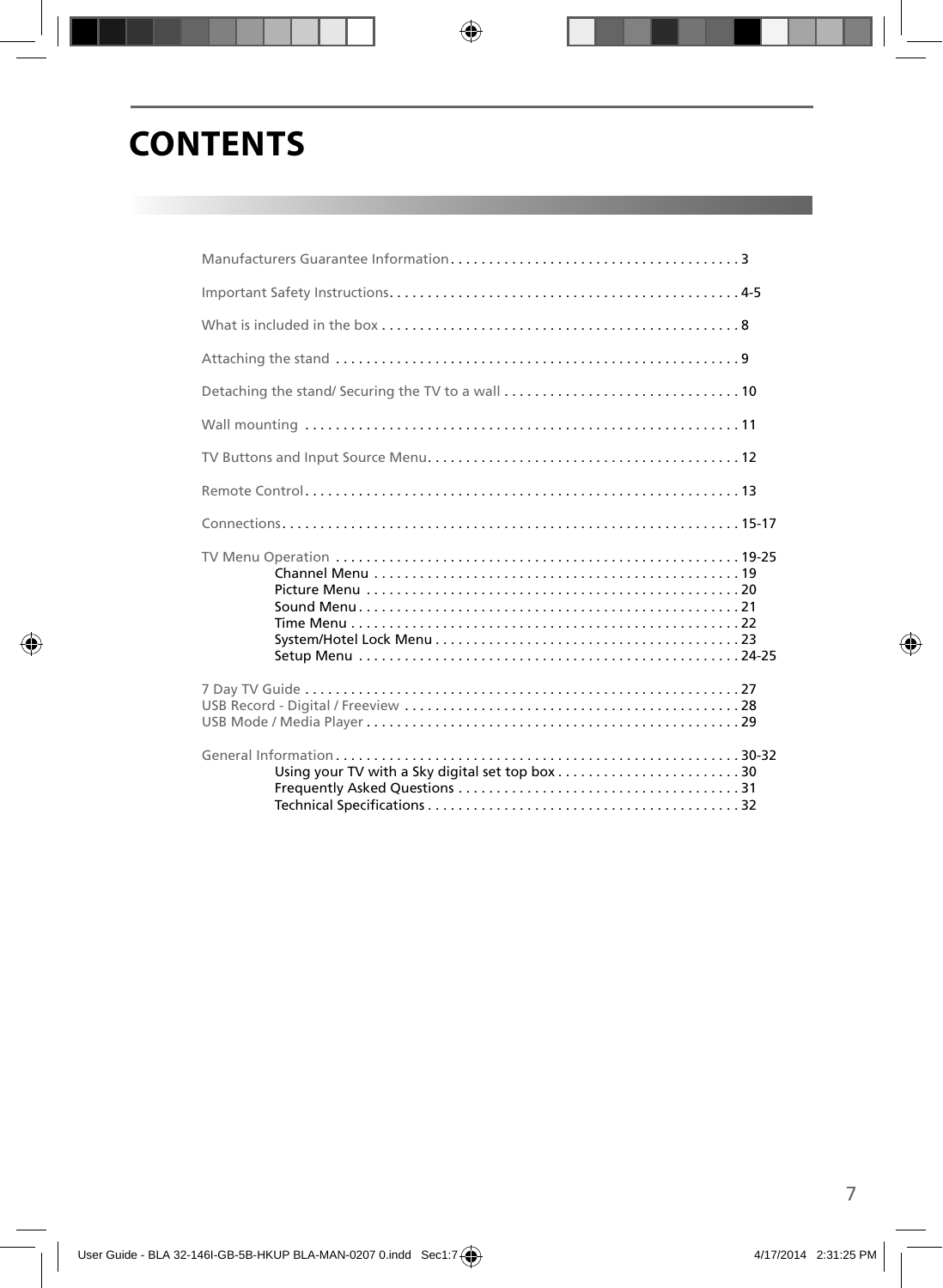## **CONTENTS**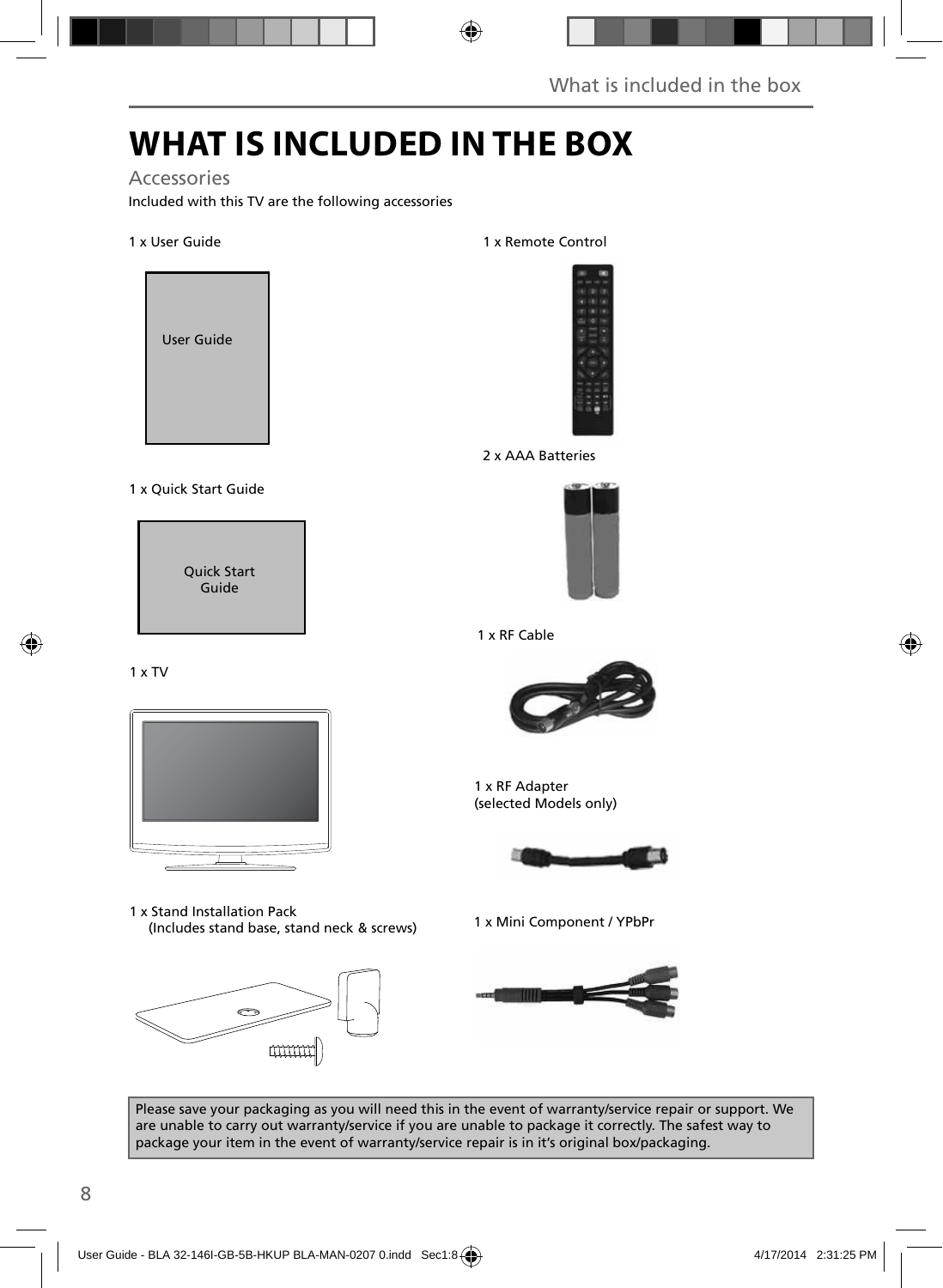## **WHAT IS INCLUDED IN THE BOX**

### Accessories

Included with this TV are the following accessories

#### 1 x User Guide



#### 1 x Quick Start Guide

Quick Start Guide

#### 1 x Remote Control



#### 2 x AAA Batteries



#### 1 x RF Cable





1 x Mini Component / YPbPr 1 x Stand Installation Pack (Includes stand base, stand neck & screws)





1 x RF Adapter (selected Models only)





Please save your packaging as you will need this in the event of warranty/service repair or support. We are unable to carry out warranty/service if you are unable to package it correctly. The safest way to package your item in the event of warranty/service repair is in it's original box/packaging.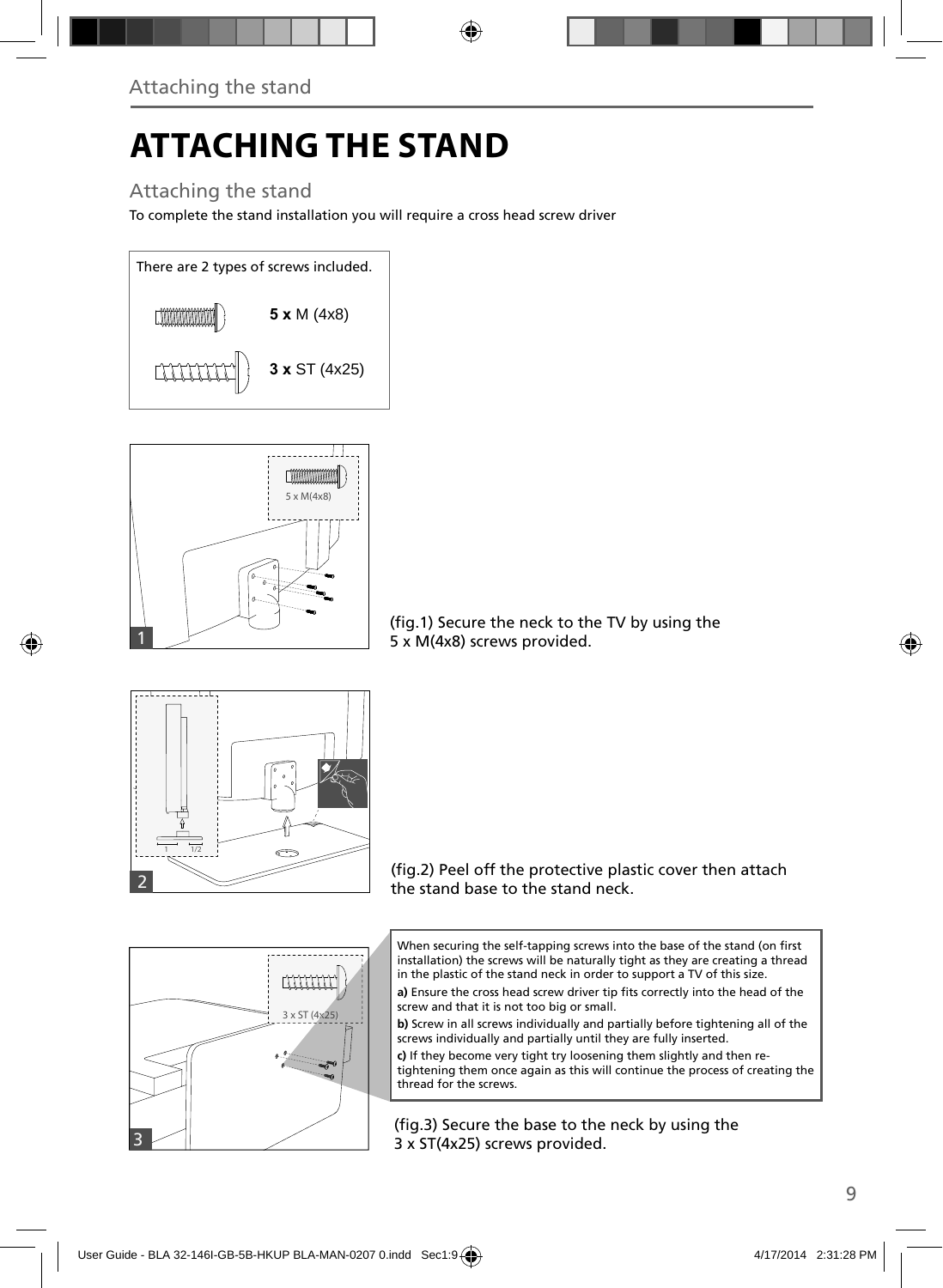# **ATTACHING THE STAND**

### Attaching the stand

To complete the stand installation you will require a cross head screw driver





(fig.1) Secure the neck to the TV by using the 5 x M(4x8) screws provided.



(fig.2) Peel off the protective plastic cover then attach the stand base to the stand neck.



a) Ensure the cross head screw driver tip fits correctly into the head of the screw and that it is not too big or small.

**b)** Screw in all screws individually and partially before tightening all of the screws individually and partially until they are fully inserted.

**c)** If they become very tight try loosening them slightly and then retightening them once again as this will continue the process of creating the thread for the screws.

(fig.3) Secure the base to the neck by using the 3 x ST(4x25) screws provided.

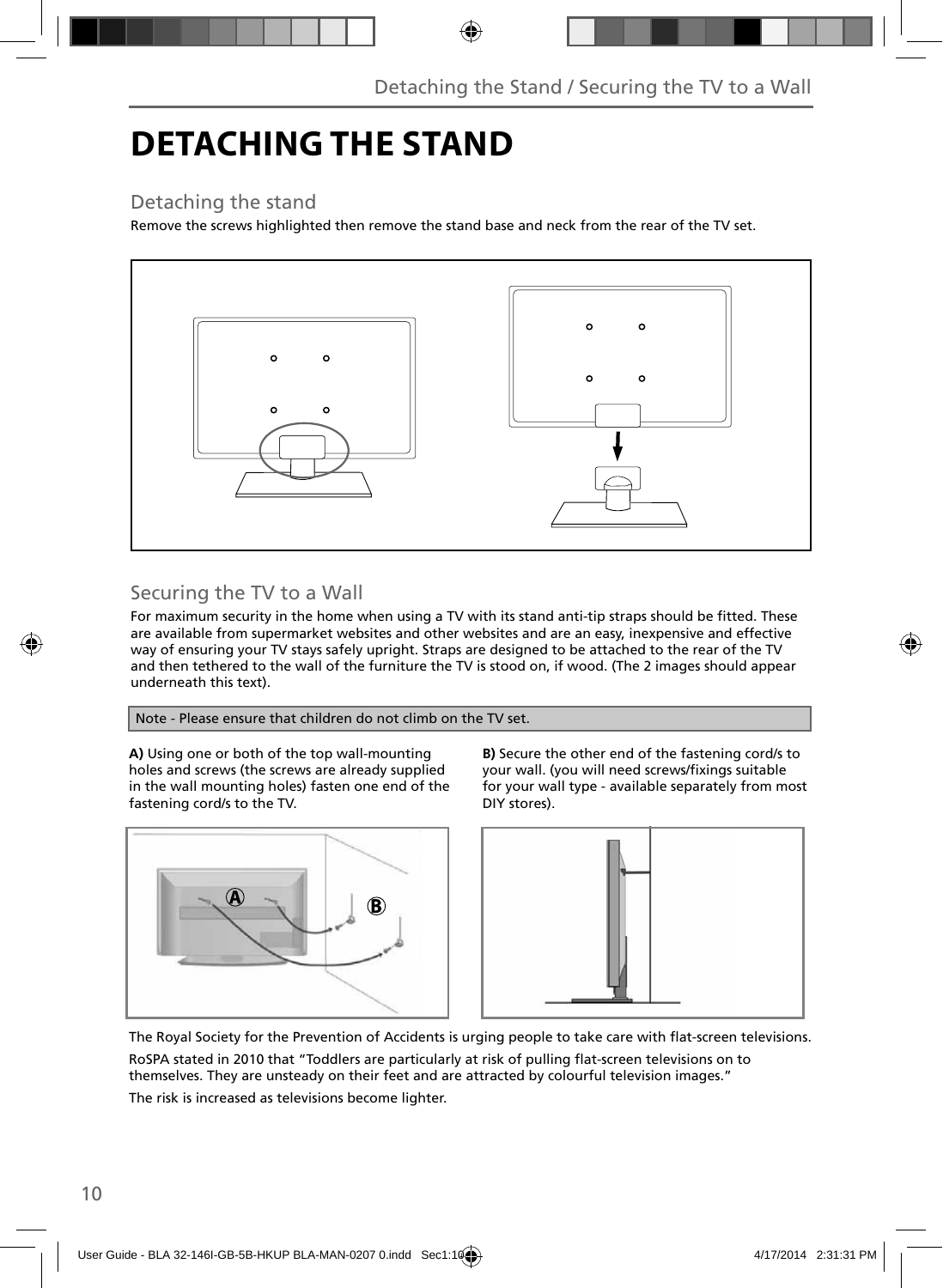## **DETACHING THE STAND**

### Detaching the stand

Remove the screws highlighted then remove the stand base and neck from the rear of the TV set.



### Securing the TV to a Wall

For maximum security in the home when using a TV with its stand anti-tip straps should be fitted. These are available from supermarket websites and other websites and are an easy, inexpensive and effective way of ensuring your TV stays safely upright. Straps are designed to be attached to the rear of the TV and then tethered to the wall of the furniture the TV is stood on, if wood. (The 2 images should appear underneath this text).

#### Note - Please ensure that children do not climb on the TV set.

**A)** Using one or both of the top wall-mounting holes and screws (the screws are already supplied in the wall mounting holes) fasten one end of the fastening cord/s to the TV.



**B)** Secure the other end of the fastening cord/s to your wall. (you will need screws/fixings suitable for your wall type - available separately from most DIY stores).



The Royal Society for the Prevention of Accidents is urging people to take care with flat-screen televisions. RoSPA stated in 2010 that "Toddlers are particularly at risk of pulling flat-screen televisions on to themselves. They are unsteady on their feet and are attracted by colourful television images."

The risk is increased as televisions become lighter.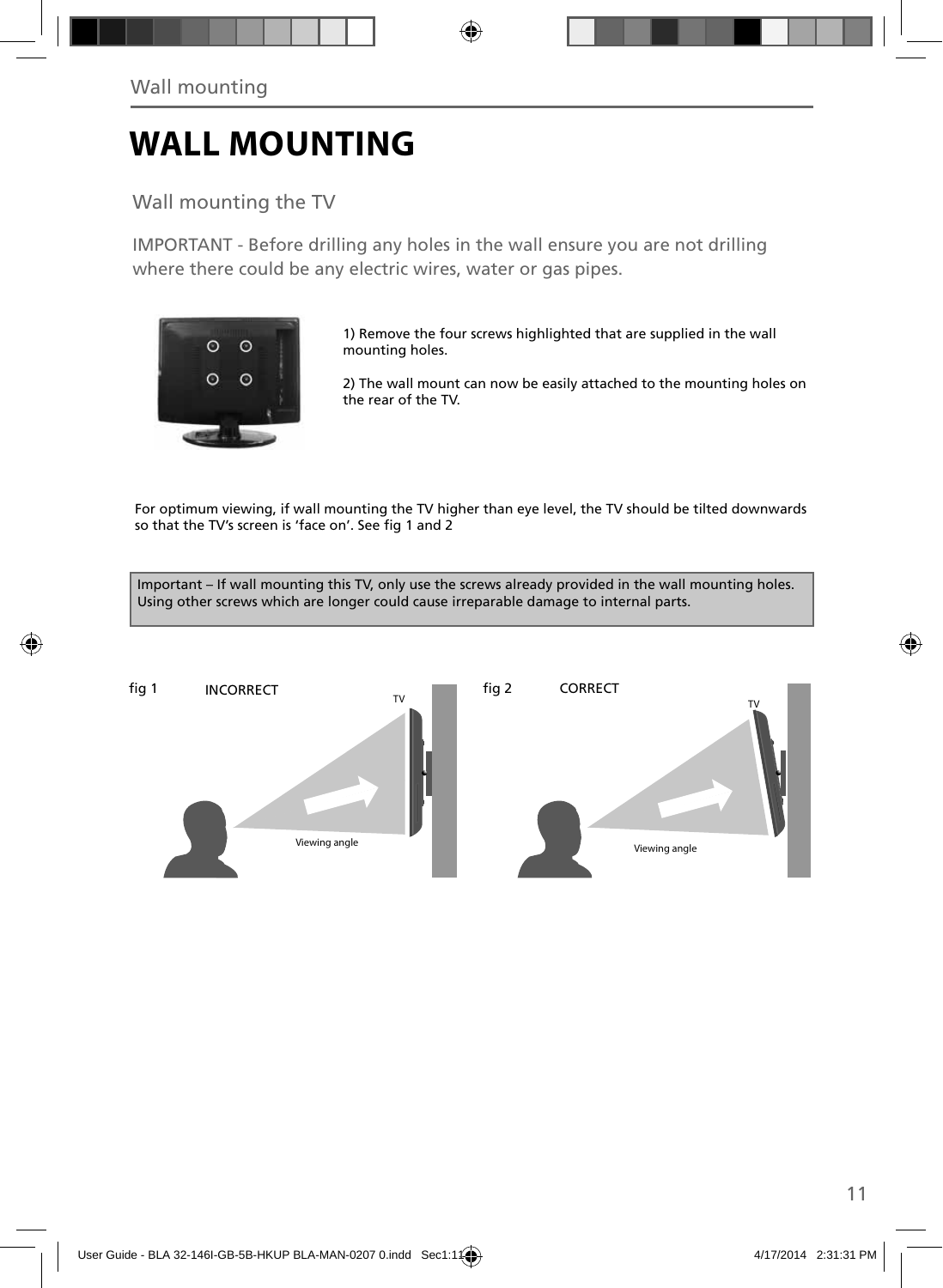## **WALL MOUNTING**

### Wall mounting the TV

IMPORTANT - Before drilling any holes in the wall ensure you are not drilling where there could be any electric wires, water or gas pipes.



1) Remove the four screws highlighted that are supplied in the wall mounting holes.

2) The wall mount can now be easily attached to the mounting holes on the rear of the TV.

For optimum viewing, if wall mounting the TV higher than eye level, the TV should be tilted downwards so that the TV's screen is 'face on'. See fig 1 and 2

Important – If wall mounting this TV, only use the screws already provided in the wall mounting holes. Using other screws which are longer could cause irreparable damage to internal parts.

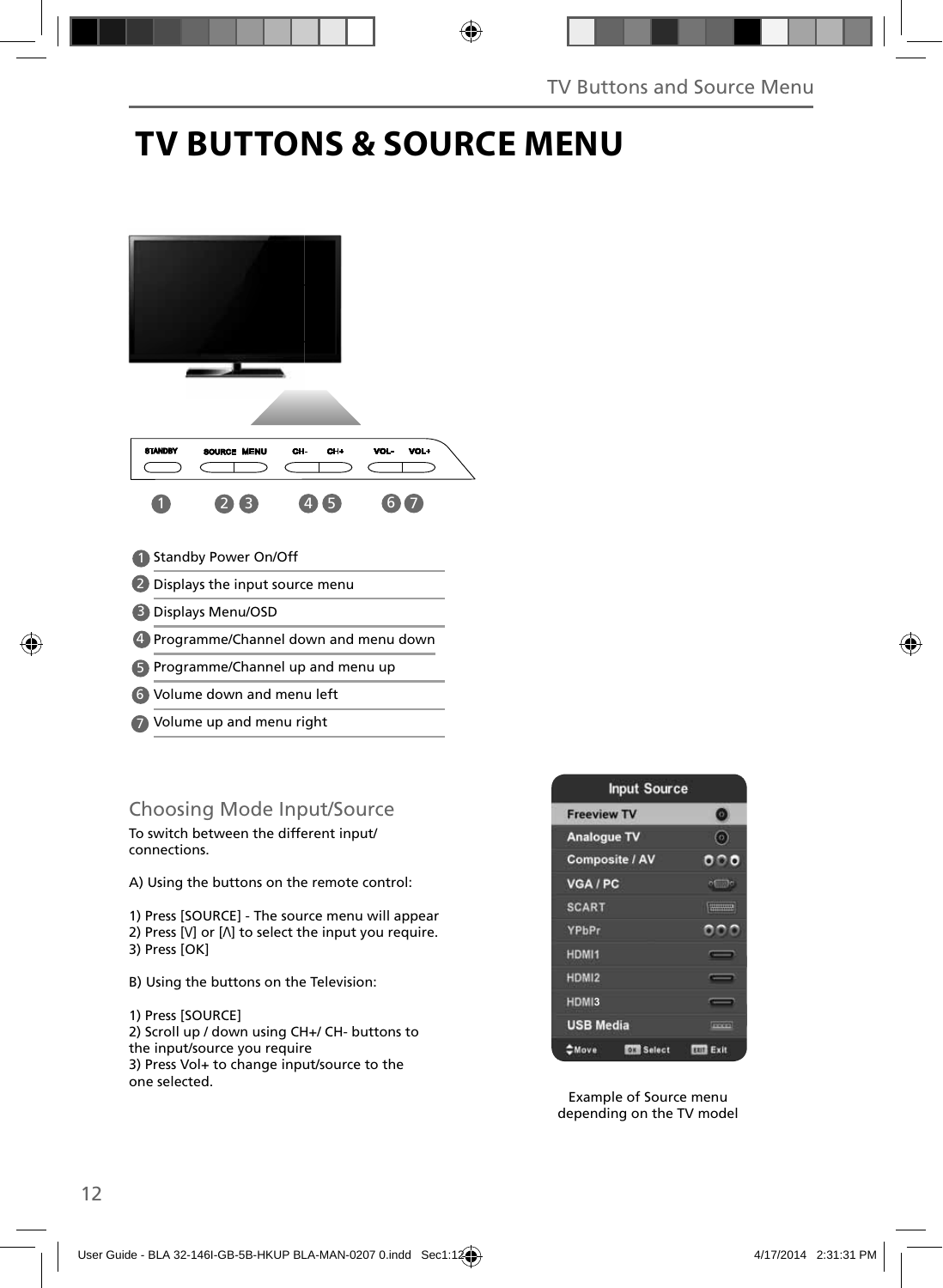## **TV BUTTONS & SOURCE MENU**



- Volume down and menu left 6
- 7) Volume up and menu right

### Choosing Mode Input/Source

To switch between the different input/ connections.

A) Using the buttons on the remote control:

1) Press [SOURCE] - The source menu will appear 2) Press  $[V]$  or  $[\Lambda]$  to select the input you require. 3) Press [OK]

B) Using the buttons on the Television:

1) Press [SOURCE] 2) Scroll up / down using CH+/ CH- buttons to the input/source you require 3) Press Vol+ to change input/source to the one selected.



Example of Source menu depending on the TV model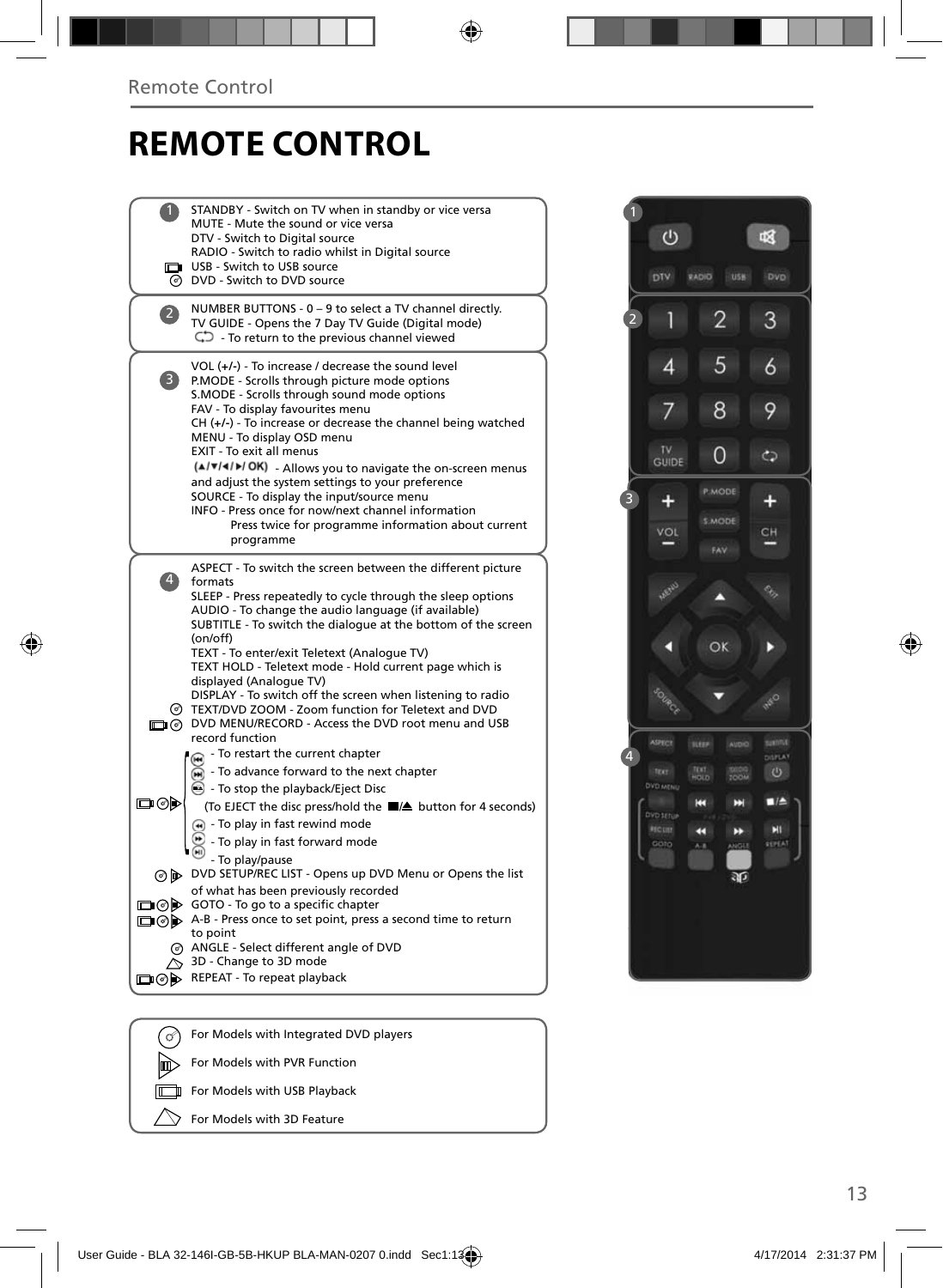## **REMOTE CONTROL**

|                | STANDBY - Switch on TV when in standby or vice versa                                                                 |
|----------------|----------------------------------------------------------------------------------------------------------------------|
|                | MUTE - Mute the sound or vice versa                                                                                  |
|                | DTV - Switch to Digital source                                                                                       |
|                | RADIO - Switch to radio whilst in Digital source<br>USB - Switch to USB source                                       |
|                | O DVD - Switch to DVD source                                                                                         |
|                | NUMBER BUTTONS - 0 - 9 to select a TV channel directly.                                                              |
|                | TV GUIDE - Opens the 7 Day TV Guide (Digital mode)                                                                   |
|                | $\mathbb{C}$ - To return to the previous channel viewed                                                              |
|                | $VOL (+/-)$ - To increase / decrease the sound level                                                                 |
| 3              | P.MODE - Scrolls through picture mode options                                                                        |
|                | S.MODE - Scrolls through sound mode options                                                                          |
|                | FAV - To display favourites menu<br>$CH (+/-)$ - To increase or decrease the channel being watched                   |
|                | MENU - To display OSD menu                                                                                           |
|                | EXIT - To exit all menus                                                                                             |
|                | (A/V/4/D/OK) - Allows you to navigate the on-screen menus                                                            |
|                | and adjust the system settings to your preference                                                                    |
|                | SOURCE - To display the input/source menu<br>INFO - Press once for now/next channel information                      |
|                | Press twice for programme information about current                                                                  |
|                | programme                                                                                                            |
|                | ASPECT - To switch the screen between the different picture                                                          |
| $\overline{4}$ | formats                                                                                                              |
|                | SLEEP - Press repeatedly to cycle through the sleep options                                                          |
|                | AUDIO - To change the audio language (if available)<br>SUBTITLE - To switch the dialogue at the bottom of the screen |
|                | (on/off)                                                                                                             |
|                | TEXT - To enter/exit Teletext (Analogue TV)                                                                          |
|                | TEXT HOLD - Teletext mode - Hold current page which is                                                               |
|                | displayed (Analogue TV)<br>DISPLAY - To switch off the screen when listening to radio                                |
|                | @ TEXT/DVD ZOOM - Zoom function for Teletext and DVD                                                                 |
|                | O DVD MENU/RECORD - Access the DVD root menu and USB                                                                 |
|                | record function                                                                                                      |
|                | - To restart the current chapter<br>⋒                                                                                |
|                | $\widetilde{\mathbf{m}}$ - To advance forward to the next chapter                                                    |
| య⊚⊡            | G - To stop the playback/Eject Disc                                                                                  |
|                | (To EJECT the disc press/hold the ■▲ button for 4 seconds)                                                           |
|                | (4) - To play in fast rewind mode                                                                                    |
|                | - To play in fast forward mode                                                                                       |
|                | - To play/pause<br>⊙ b> DVD SETUP/REC LIST - Opens up DVD Menu or Opens the list                                     |
|                | of what has been previously recorded                                                                                 |
| ⊡⊚⊫            | GOTO - To go to a specific chapter                                                                                   |
|                | A-B - Press once to set point, press a second time to return                                                         |
|                | to point                                                                                                             |
|                | @ ANGLE - Select different angle of DVD<br>↑ 3D - Change to 3D mode                                                  |
|                | □ ⊙ D REPEAT - To repeat playback                                                                                    |
|                |                                                                                                                      |
|                |                                                                                                                      |
| (ര്)           | For Models with Integrated DVD players                                                                               |



2

്ധ

Π

 $\overline{4}$ 

 $\overline{7}$ 

咽

3

 $\ddot{\delta}$ 

9

 $\overline{2}$ 

5

8

For Models with PVR Function

For Models with USB Playback

For Models with 3D Feature

间 匠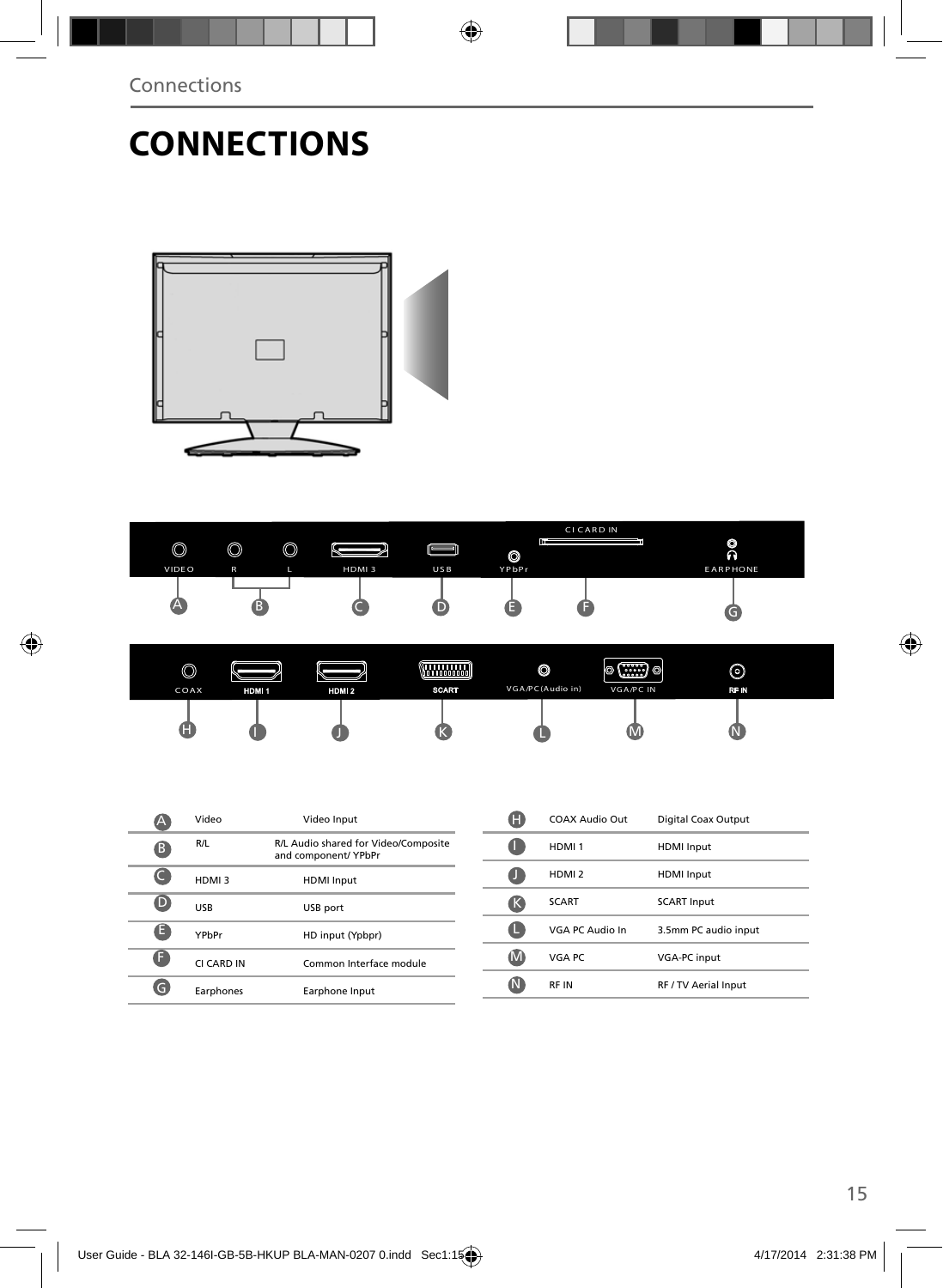## **CONNECTIONS**





| $\circledcirc$<br>COAX | HDM <sub>1</sub> | HDM <sub>2</sub> | - 20000000 -<br><b>SCART</b> | $\circledcirc$<br>VGA/PC(Audio in) | (10000000)<br>(∷∷:) ⊙ <br>1 ©<br><b>VGA/PC IN</b> | ⊚<br>RF IN |
|------------------------|------------------|------------------|------------------------------|------------------------------------|---------------------------------------------------|------------|
| Ψ                      |                  |                  |                              |                                    | UV.                                               |            |

|    | Video      | Video Input                                                  |  |
|----|------------|--------------------------------------------------------------|--|
| B  | R/L        | R/L Audio shared for Video/Composite<br>and component/ YPbPr |  |
|    | HDMI3      | <b>HDMI</b> Input                                            |  |
| D  | <b>USB</b> | USB port                                                     |  |
| e  | YPhPr      | HD input (Ypbpr)                                             |  |
| F. | CI CARD IN | Common Interface module                                      |  |
|    | Earphones  | Earphone Input                                               |  |

| н   | COAX Audio Out    | Digital Coax Output  |
|-----|-------------------|----------------------|
|     | HDMI <sub>1</sub> | <b>HDMI</b> Input    |
|     | HDMI <sub>2</sub> | <b>HDMI</b> Input    |
| ĸ   | <b>SCART</b>      | <b>SCART Input</b>   |
|     | VGA PC Audio In   | 3.5mm PC audio input |
| IMI | VGA PC            | <b>VGA-PC input</b>  |
| TМ  | <b>RFIN</b>       | RF / TV Aerial Input |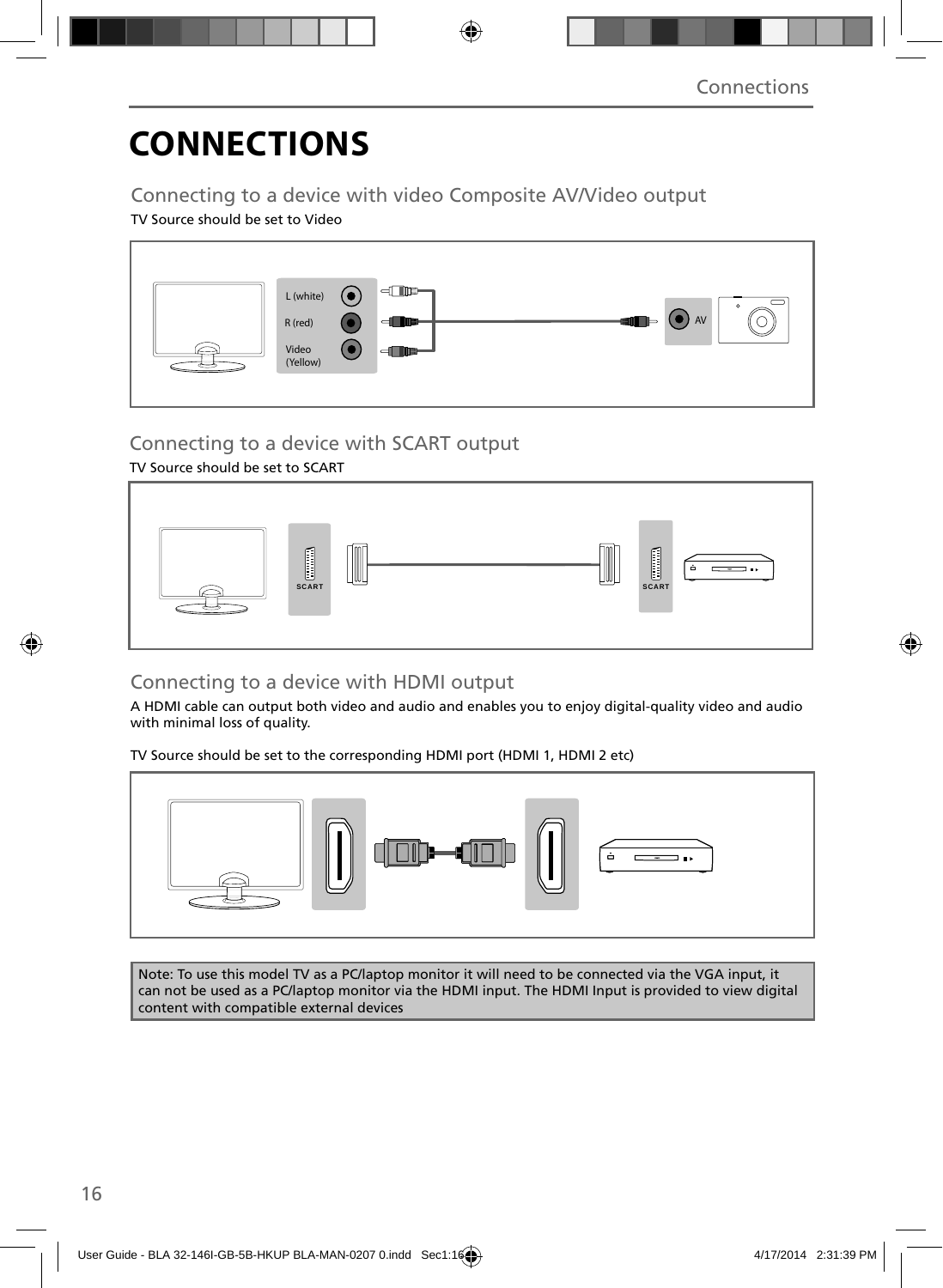# **CONNECTIONS**

### Connecting to a device with video Composite AV/Video output

### TV Source should be set to Video



### Connecting to a device with SCART output

### TV Source should be set to SCART



### Connecting to a device with HDMI output

A HDMI cable can output both video and audio and enables you to enjoy digital-quality video and audio with minimal loss of quality.

TV Source should be set to the corresponding HDMI port (HDMI 1, HDMI 2 etc)



Note: To use this model TV as a PC/laptop monitor it will need to be connected via the VGA input, it can not be used as a PC/laptop monitor via the HDMI input. The HDMI Input is provided to view digital content with compatible external devices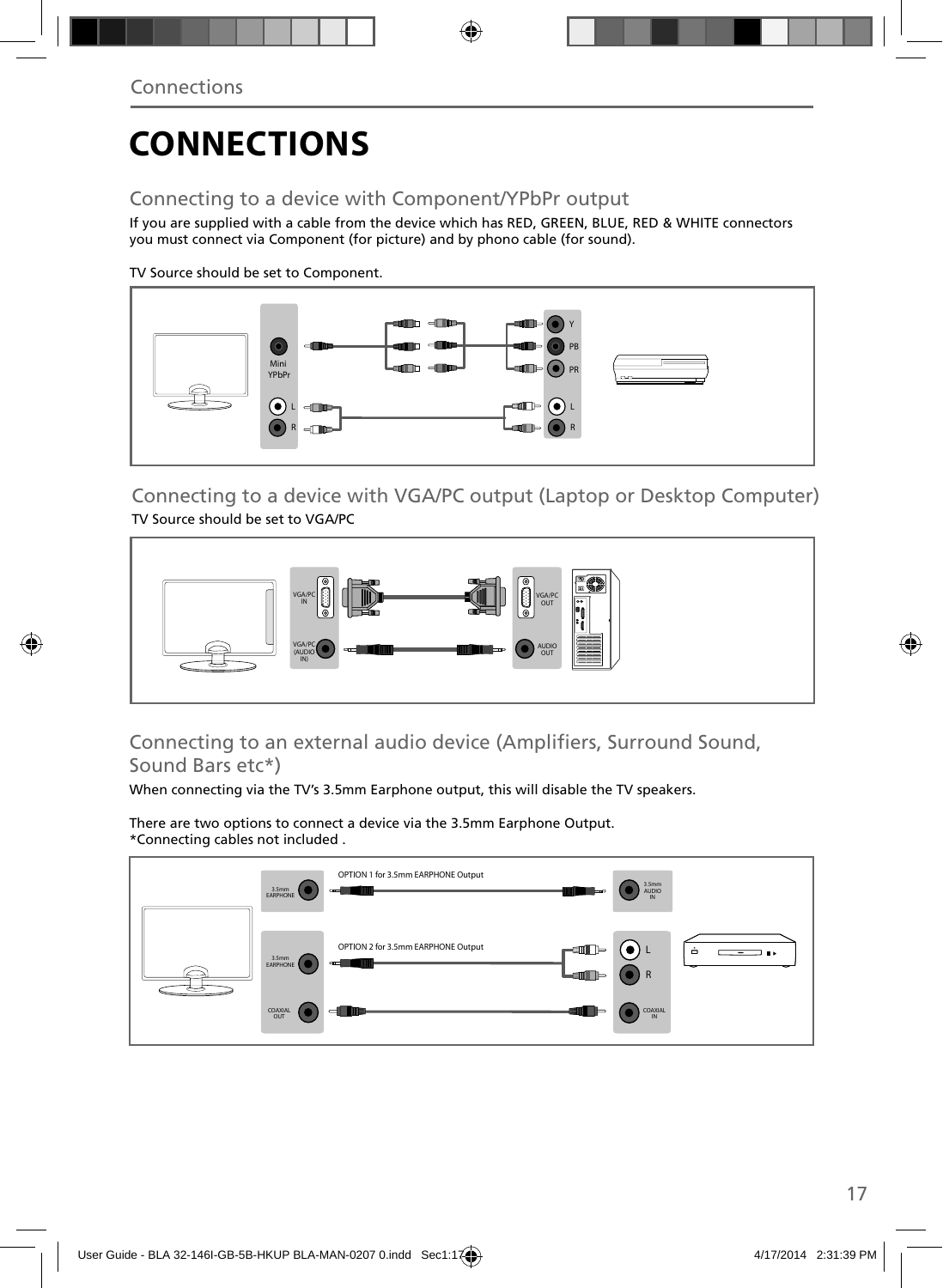# **CONNECTIONS**

### Connecting to a device with Component/YPbPr output

If you are supplied with a cable from the device which has RED, GREEN, BLUE, RED & WHITE connectors you must connect via Component (for picture) and by phono cable (for sound).

TV Source should be set to Component.



Connecting to a device with VGA/PC output (Laptop or Desktop Computer) TV Source should be set to VGA/PC



### Connecting to an external audio device (Amplifiers, Surround Sound, Sound Bars etc\*)

When connecting via the TV's 3.5mm Earphone output, this will disable the TV speakers.

There are two options to connect a device via the 3.5mm Earphone Output. \*Connecting cables not included .

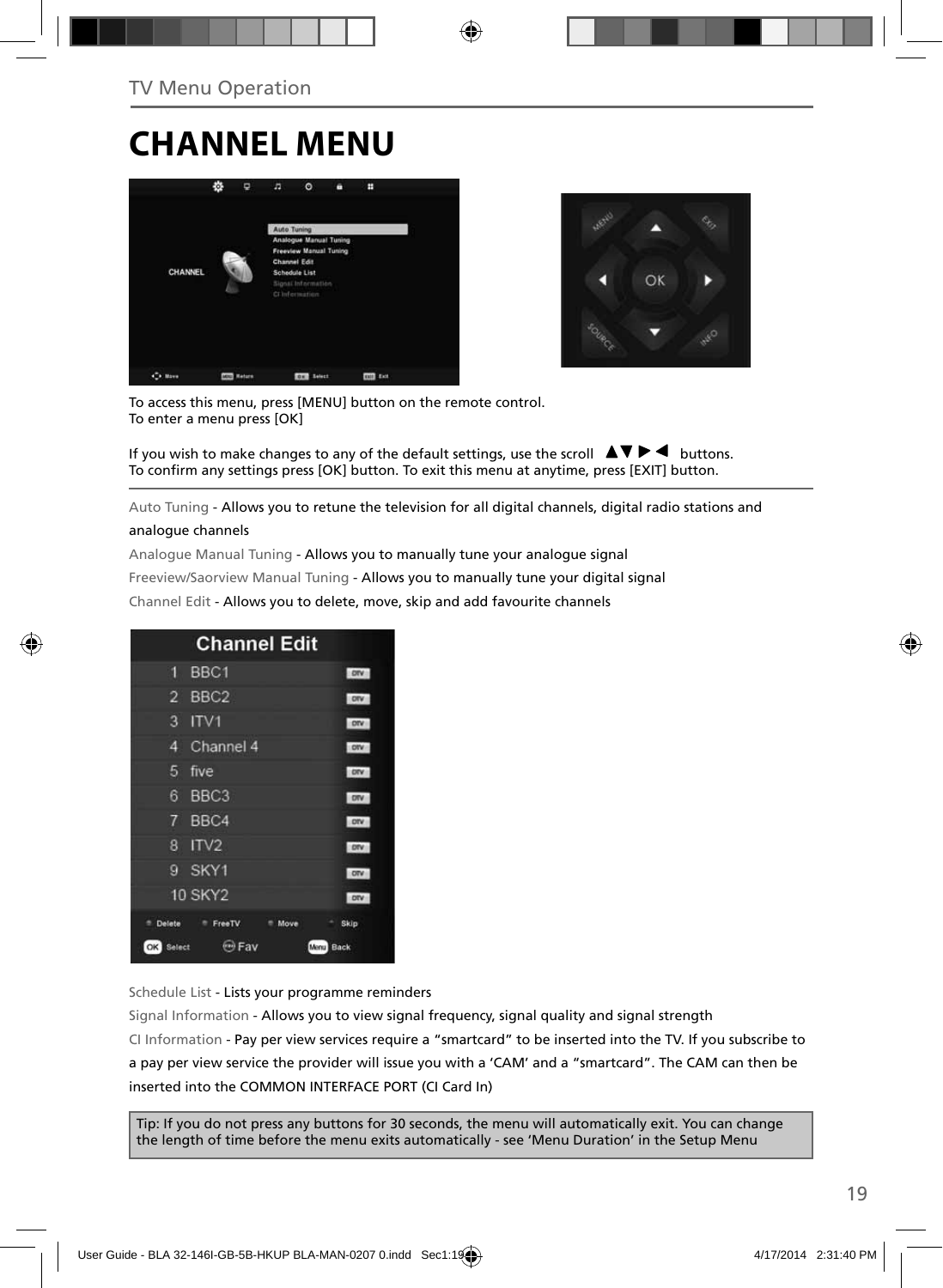## **CHANNEL MENU**





To access this menu, press [MENU] button on the remote control. To enter a menu press [OK]

If you wish to make changes to any of the default settings, use the scroll  $\Box \blacktriangledown \blacktriangleright \blacktriangleleft$  buttons. To confirm any settings press [OK] button. To exit this menu at anytime, press [EXIT] button.

Auto Tuning - Allows you to retune the television for all digital channels, digital radio stations and

#### analogue channels

Analogue Manual Tuning - Allows you to manually tune your analogue signal

Freeview/Saorview Manual Tuning - Allows you to manually tune your digital signal

Channel Edit - Allows you to delete, move, skip and add favourite channels

| <b>Channel Edit</b>                |            |  |  |  |
|------------------------------------|------------|--|--|--|
| BBC1<br>9                          | <b>OTV</b> |  |  |  |
| BBC <sub>2</sub><br>$\overline{2}$ | orv        |  |  |  |
| 3<br>ITVI                          | ony        |  |  |  |
| Channel 4<br>4                     | otv        |  |  |  |
| 5<br>five                          | ory        |  |  |  |
| 6<br>BBC <sub>3</sub>              | OTV        |  |  |  |
| BBC4<br>7                          | ony        |  |  |  |
| IV2<br>8                           | otv        |  |  |  |
| SKY1<br>g                          | otv        |  |  |  |
| <b>10 SKY2</b>                     | otv        |  |  |  |
| Delete<br>FreeTV<br>Move<br>٠      | Skip       |  |  |  |
| $(m)$ Fav<br>Select<br>OK<br>Menu  | Back       |  |  |  |

Schedule List - Lists your programme reminders

Signal Information - Allows you to view signal frequency, signal quality and signal strength CI Information - Pay per view services require a "smartcard" to be inserted into the TV. If you subscribe to a pay per view service the provider will issue you with a 'CAM' and a "smartcard". The CAM can then be inserted into the COMMON INTERFACE PORT (CI Card In)

Tip: If you do not press any buttons for 30 seconds, the menu will automatically exit. You can change the length of time before the menu exits automatically - see 'Menu Duration' in the Setup Menu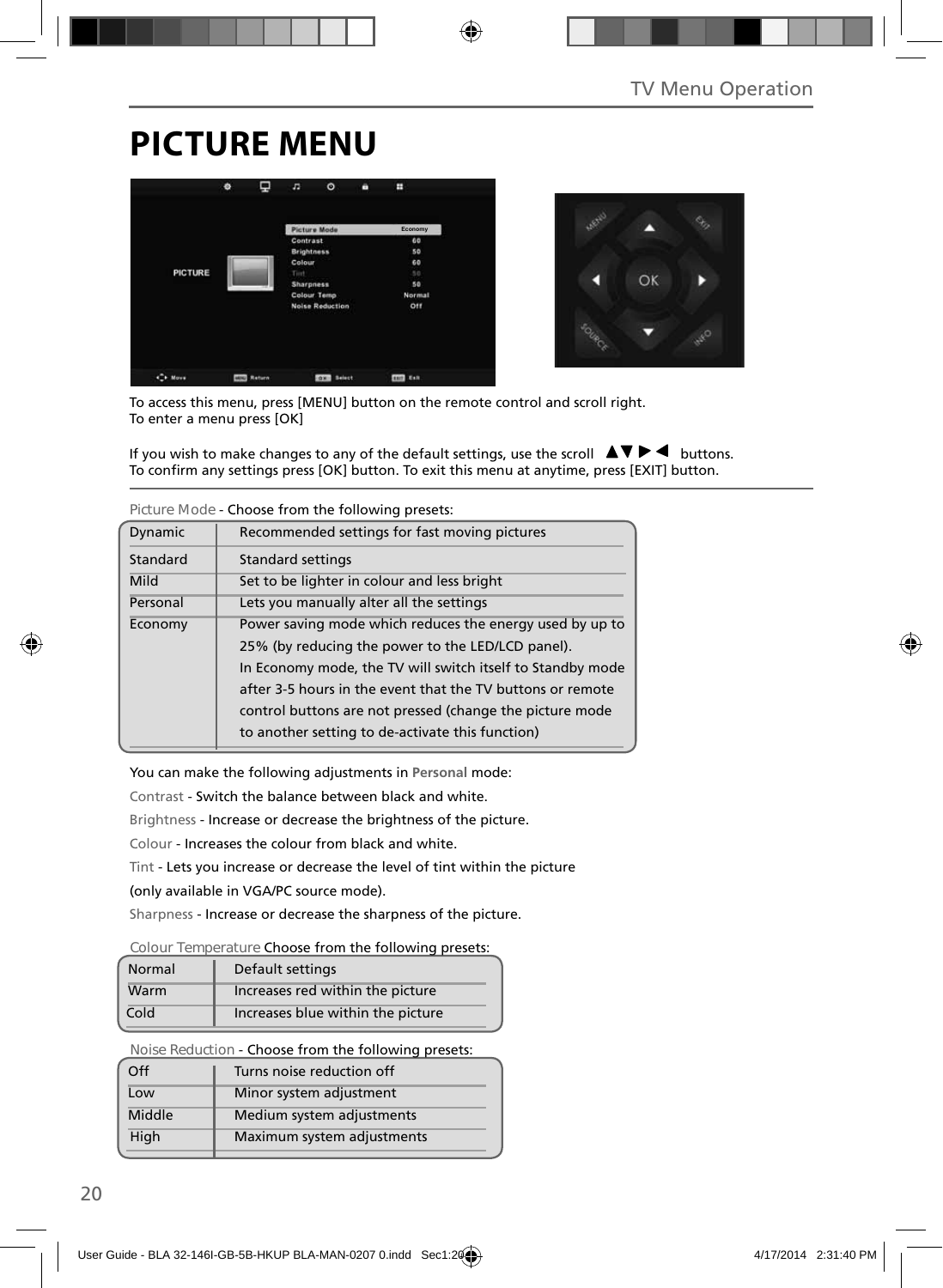## **PICTURE MENU**





To access this menu, press [MENU] button on the remote control and scroll right. To enter a menu press [OK]

If you wish to make changes to any of the default settings, use the scroll  $\blacktriangle \blacktriangledown \blacktriangleright \blacktriangleleft$  buttons. To confirm any settings press [OK] button. To exit this menu at anytime, press [EXIT] button.

| TIGUI CHIUUC - CHUUSC TIUNI UTC TUNUWINU DI CSCLS.   |                                                            |  |  |
|------------------------------------------------------|------------------------------------------------------------|--|--|
| Dynamic                                              | Recommended settings for fast moving pictures              |  |  |
| Standard                                             | <b>Standard settings</b>                                   |  |  |
| Mild                                                 | Set to be lighter in colour and less bright                |  |  |
| Personal<br>Lets you manually alter all the settings |                                                            |  |  |
| Economy                                              | Power saving mode which reduces the energy used by up to   |  |  |
|                                                      | 25% (by reducing the power to the LED/LCD panel).          |  |  |
|                                                      | In Economy mode, the TV will switch itself to Standby mode |  |  |
|                                                      | after 3-5 hours in the event that the TV buttons or remote |  |  |
|                                                      | control buttons are not pressed (change the picture mode   |  |  |
|                                                      | to another setting to de-activate this function)           |  |  |

**Picture Mode** - Choose from the following presets:

You can make the following adjustments in **Personal** mode:

Contrast - Switch the balance between black and white.

Brightness - Increase or decrease the brightness of the picture.

Colour - Increases the colour from black and white.

Tint - Lets you increase or decrease the level of tint within the picture

(only available in VGA/PC source mode).

Sharpness - Increase or decrease the sharpness of the picture.

#### **Colour Temperature** Choose from the following presets:

| Normal | Default settings                  |
|--------|-----------------------------------|
| Warm   | Increases red within the picture  |
| Cold   | Increases blue within the picture |

**Noise Reduction** - Choose from the following presets:

| Turns noise reduction off  |
|----------------------------|
| Minor system adjustment    |
| Medium system adjustments  |
| Maximum system adjustments |
|                            |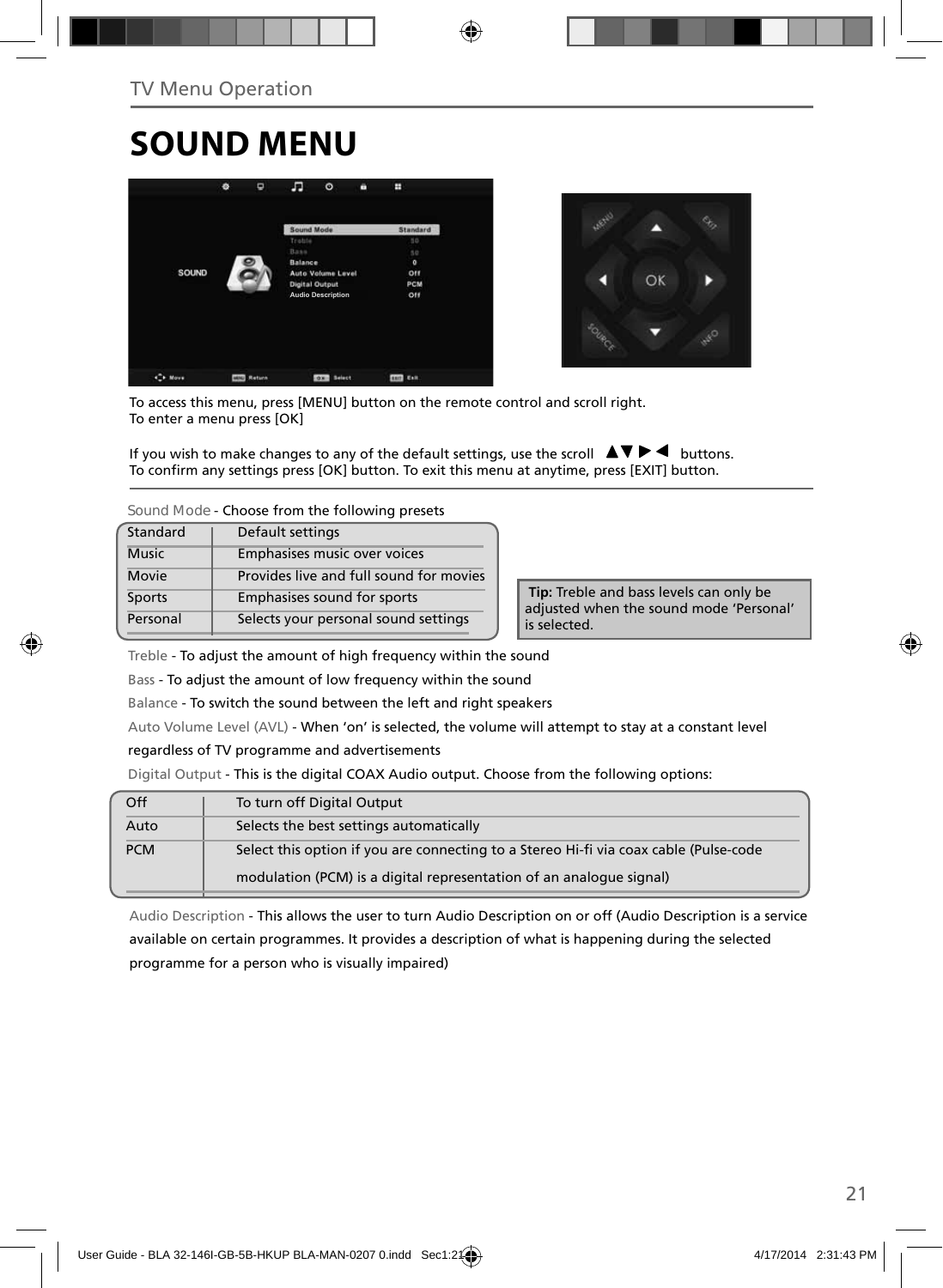# **SOUND MENU**





To access this menu, press [MENU] button on the remote control and scroll right. To enter a menu press [OK]

If you wish to make changes to any of the default settings, use the scroll  $\Box \blacktriangledown \blacktriangleright \blacktriangleleft$  buttons. To confirm any settings press [OK] button. To exit this menu at anytime, press [EXIT] button.

**Sound Mode** - Choose from the following presets

| Standard      | Default settings                        |
|---------------|-----------------------------------------|
| <b>Music</b>  | Emphasises music over voices            |
| Movie         | Provides live and full sound for movies |
| <b>Sports</b> | Emphasises sound for sports             |
| Personal      | Selects your personal sound settings    |

 **Tip:** Treble and bass levels can only be adjusted when the sound mode 'Personal' is selected.

Treble - To adjust the amount of high frequency within the sound

Bass - To adjust the amount of low frequency within the sound

Balance - To switch the sound between the left and right speakers

Auto Volume Level (AVL) - When 'on' is selected, the volume will attempt to stay at a constant level

regardless of TV programme and advertisements

Digital Output - This is the digital COAX Audio output. Choose from the following options:

| Off        | To turn off Digital Output                                                            |
|------------|---------------------------------------------------------------------------------------|
| Auto       | Selects the best settings automatically                                               |
| <b>PCM</b> | Select this option if you are connecting to a Stereo Hi-fi via coax cable (Pulse-code |
|            | modulation (PCM) is a digital representation of an analogue signal)                   |

Audio Description - This allows the user to turn Audio Description on or off (Audio Description is a service available on certain programmes. It provides a description of what is happening during the selected programme for a person who is visually impaired)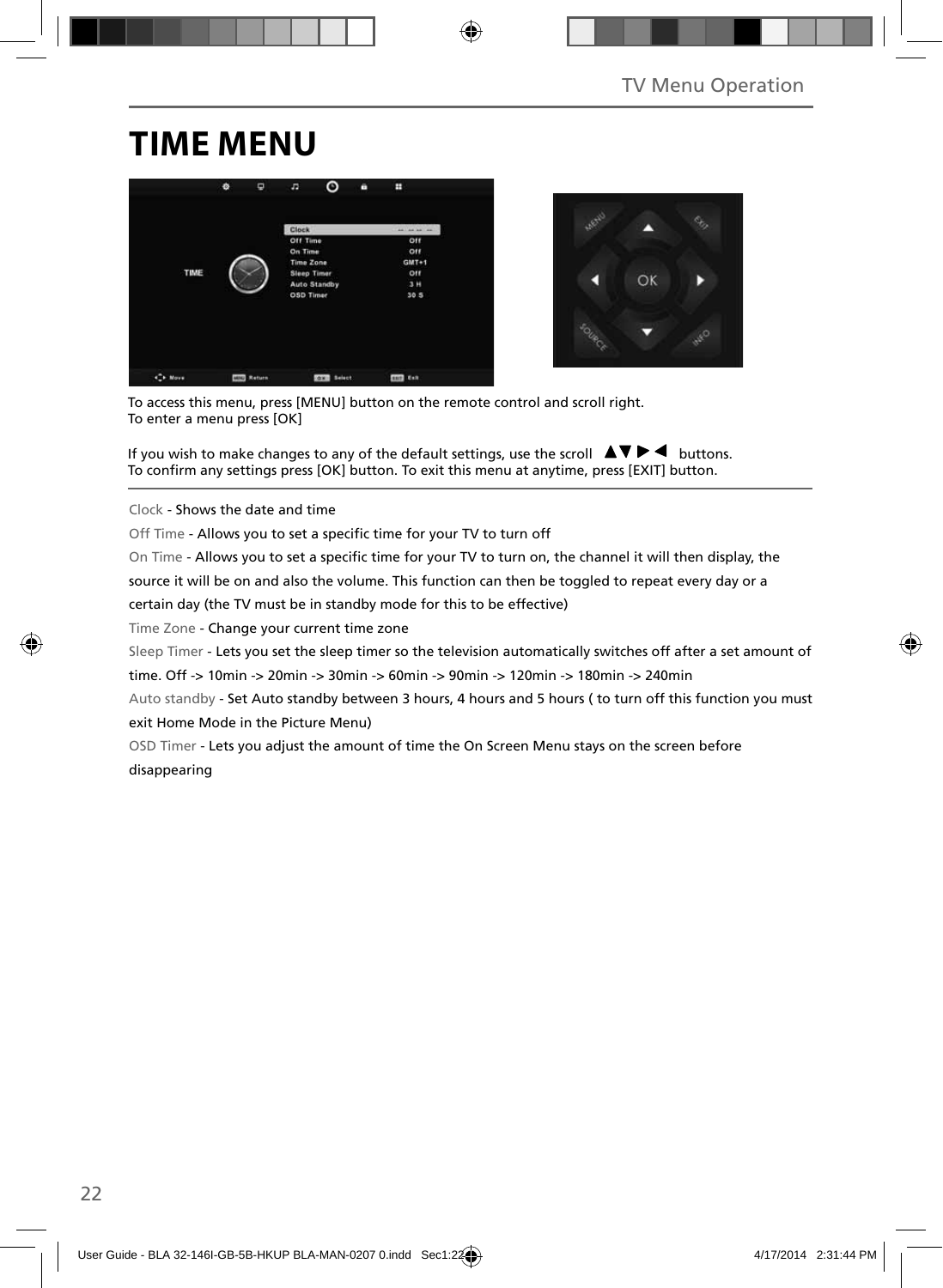## **TIME MENU**





To access this menu, press [MENU] button on the remote control and scroll right. To enter a menu press [OK]

If you wish to make changes to any of the default settings, use the scroll  $\blacktriangle \blacktriangledown \blacktriangleright \blacktriangleleft$  buttons. To confirm any settings press [OK] button. To exit this menu at anytime, press [EXIT] button.

Clock - Shows the date and time

Off Time - Allows you to set a specific time for your TV to turn off

On Time - Allows you to set a specific time for your TV to turn on, the channel it will then display, the

source it will be on and also the volume. This function can then be toggled to repeat every day or a

certain day (the TV must be in standby mode for this to be effective)

Time Zone - Change your current time zone

Sleep Timer - Lets you set the sleep timer so the television automatically switches off after a set amount of

time. Off -> 10min -> 20min -> 30min -> 60min -> 90min -> 120min -> 180min -> 240min

Auto standby - Set Auto standby between 3 hours, 4 hours and 5 hours ( to turn off this function you must exit Home Mode in the Picture Menu)

OSD Timer - Lets you adjust the amount of time the On Screen Menu stays on the screen before disappearing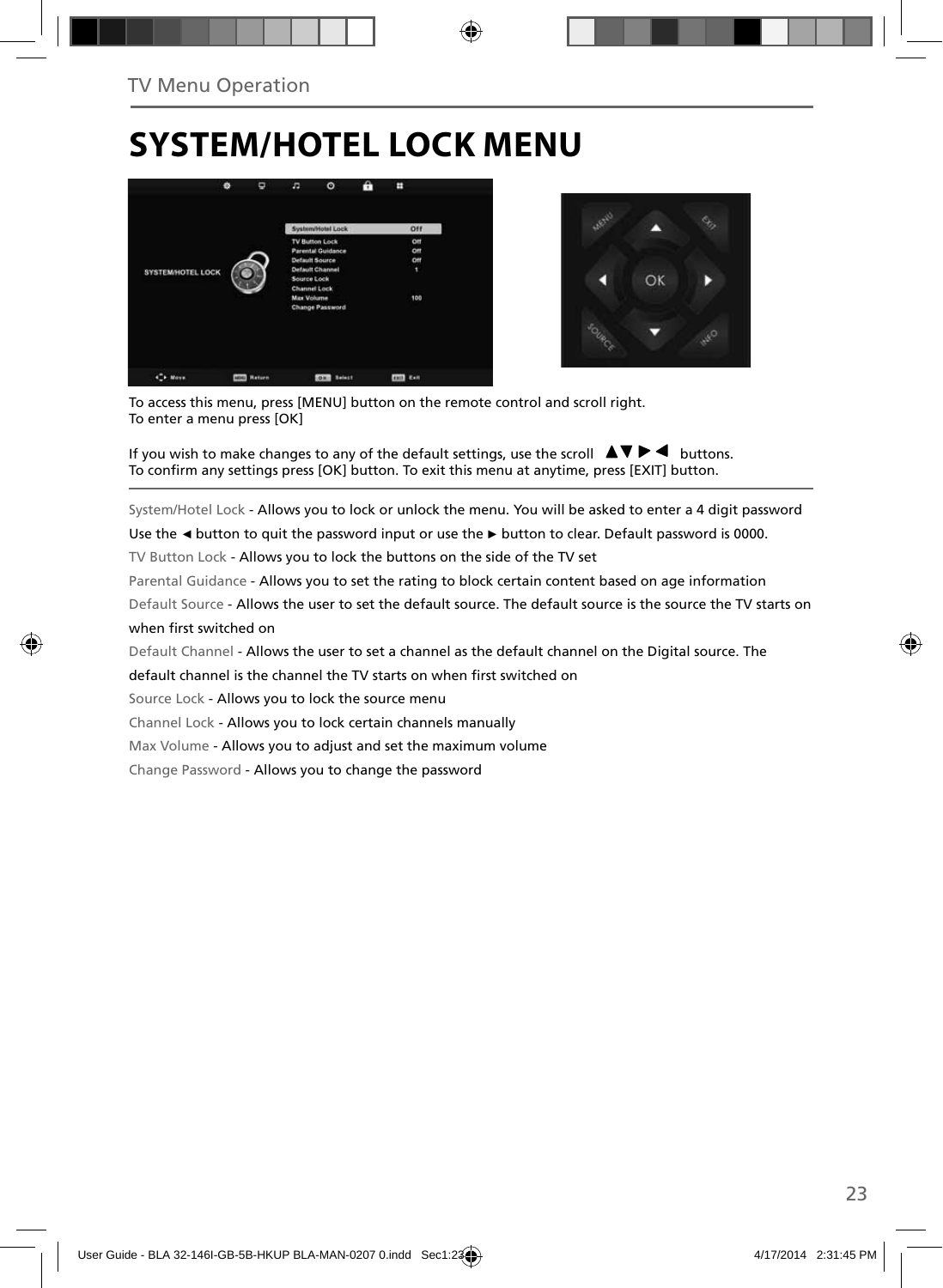## **SYSTEM/HOTEL LOCK MENU**





To access this menu, press [MENU] button on the remote control and scroll right. To enter a menu press [OK]

If you wish to make changes to any of the default settings, use the scroll  $\Box \blacktriangledown \blacktriangleright \blacktriangleleft$  buttons. To confirm any settings press [OK] button. To exit this menu at anytime, press [EXIT] button.

System/Hotel Lock - Allows you to lock or unlock the menu. You will be asked to enter a 4 digit password

Use the **◄** button to quit the password input or use the **►** button to clear. Default password is 0000.

TV Button Lock - Allows you to lock the buttons on the side of the TV set

Parental Guidance - Allows you to set the rating to block certain content based on age information

Default Source - Allows the user to set the default source. The default source is the source the TV starts on when first switched on

Default Channel - Allows the user to set a channel as the default channel on the Digital source. The

default channel is the channel the TV starts on when first switched on

Source Lock - Allows you to lock the source menu

Channel Lock - Allows you to lock certain channels manually

Max Volume - Allows you to adjust and set the maximum volume

Change Password - Allows you to change the password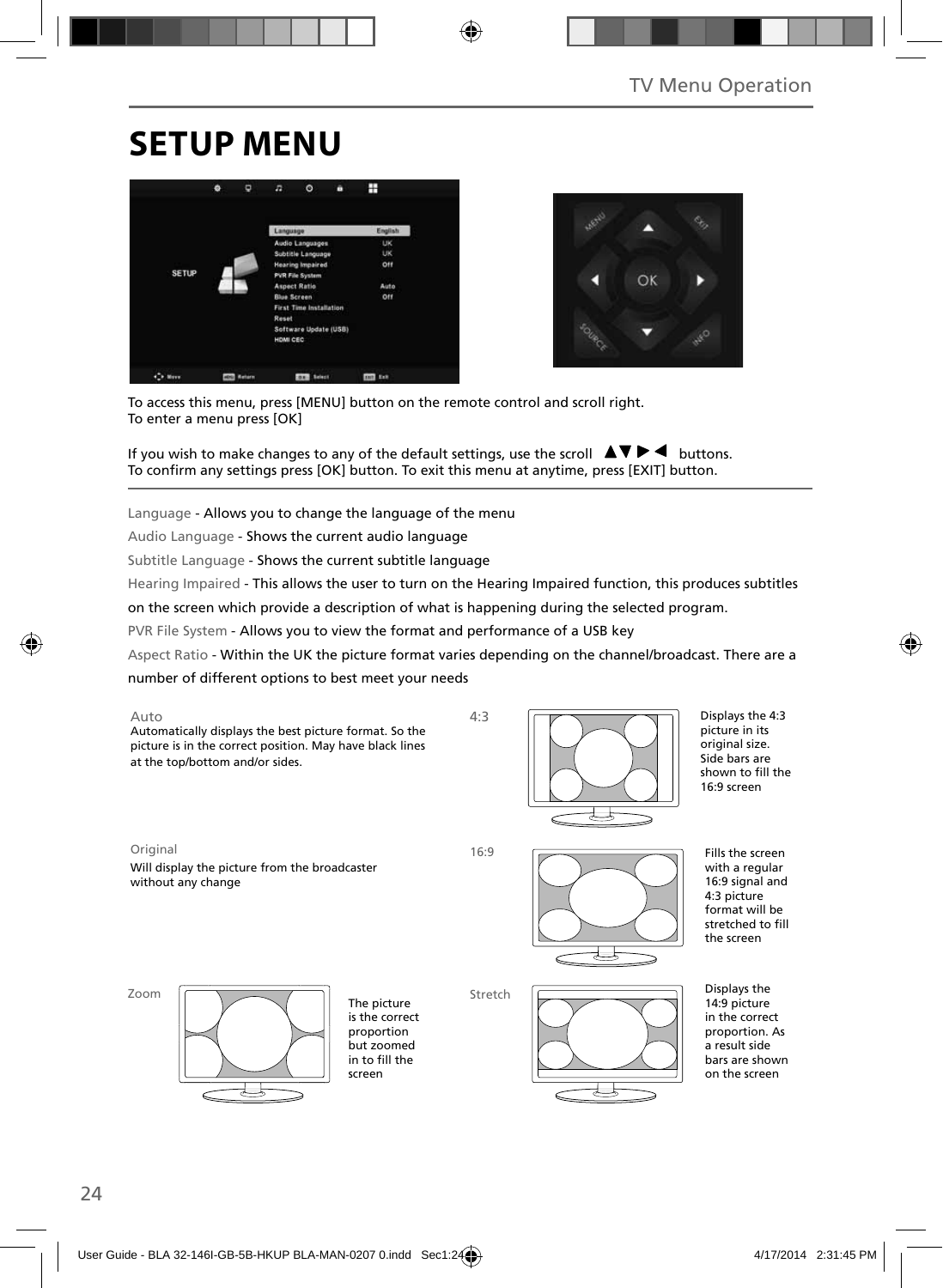## **SETUP MENU**





To access this menu, press [MENU] button on the remote control and scroll right. To enter a menu press [OK]

If you wish to make changes to any of the default settings, use the scroll  $\blacktriangle \blacktriangledown \blacktriangleright \blacktriangleleft$  buttons. To confirm any settings press [OK] button. To exit this menu at anytime, press [EXIT] button.

Language - Allows you to change the language of the menu

Audio Language - Shows the current audio language

Subtitle Language - Shows the current subtitle language

Hearing Impaired - This allows the user to turn on the Hearing Impaired function, this produces subtitles

on the screen which provide a description of what is happening during the selected program.

PVR File System - Allows you to view the format and performance of a USB key

Aspect Ratio - Within the UK the picture format varies depending on the channel/broadcast. There are a

4:3

number of different options to best meet your needs

Auto Automatically displays the best picture format. So the picture is in the correct position. May have black lines at the top/bottom and/or sides.



Displays the 4:3 picture in its original size. Side bars are shown to fill the 16:9 screen

Original 16:9

Will display the picture from the broadcaster without any change



Fills the screen with a regular 16:9 signal and 4:3 picture format will be stretched to fill the screen

Zoom



The picture is the correct proportion but zoomed in to fill the screen

Stretch



Displays the 14:9 picture in the correct proportion. As a result side

bars are shown on the screen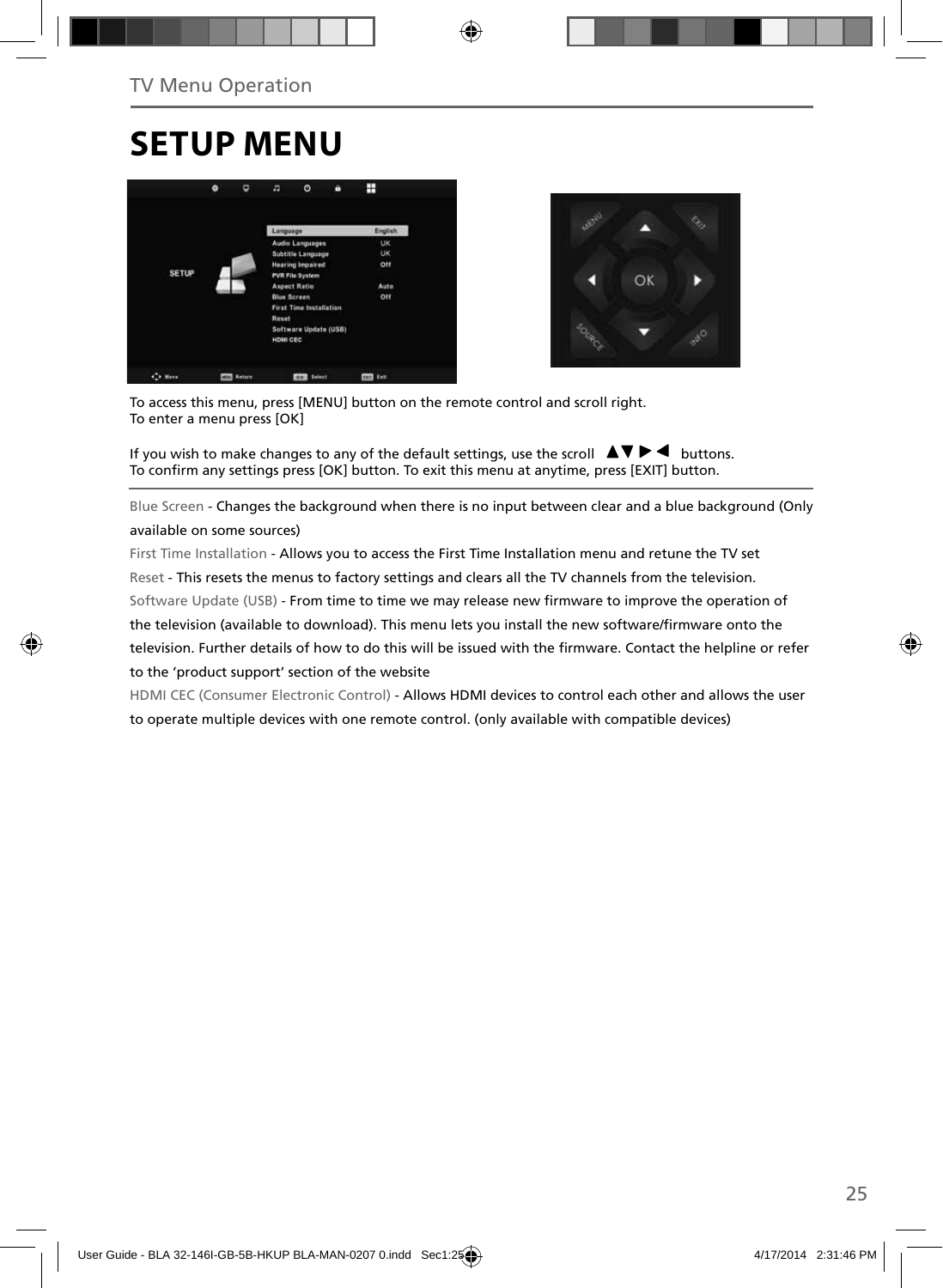## **SETUP MENU**





To access this menu, press [MENU] button on the remote control and scroll right. To enter a menu press [OK]

If you wish to make changes to any of the default settings, use the scroll  $\Box \Box \blacktriangleright \blacktriangleleft$  buttons. To confirm any settings press [OK] button. To exit this menu at anytime, press [EXIT] button.

Blue Screen - Changes the background when there is no input between clear and a blue background (Only available on some sources)

First Time Installation - Allows you to access the First Time Installation menu and retune the TV set Reset - This resets the menus to factory settings and clears all the TV channels from the television. Software Update (USB) - From time to time we may release new firmware to improve the operation of the television (available to download). This menu lets you install the new software/firmware onto the television. Further details of how to do this will be issued with the firmware. Contact the helpline or refer to the 'product support' section of the website

HDMI CEC (Consumer Electronic Control) - Allows HDMI devices to control each other and allows the user to operate multiple devices with one remote control. (only available with compatible devices)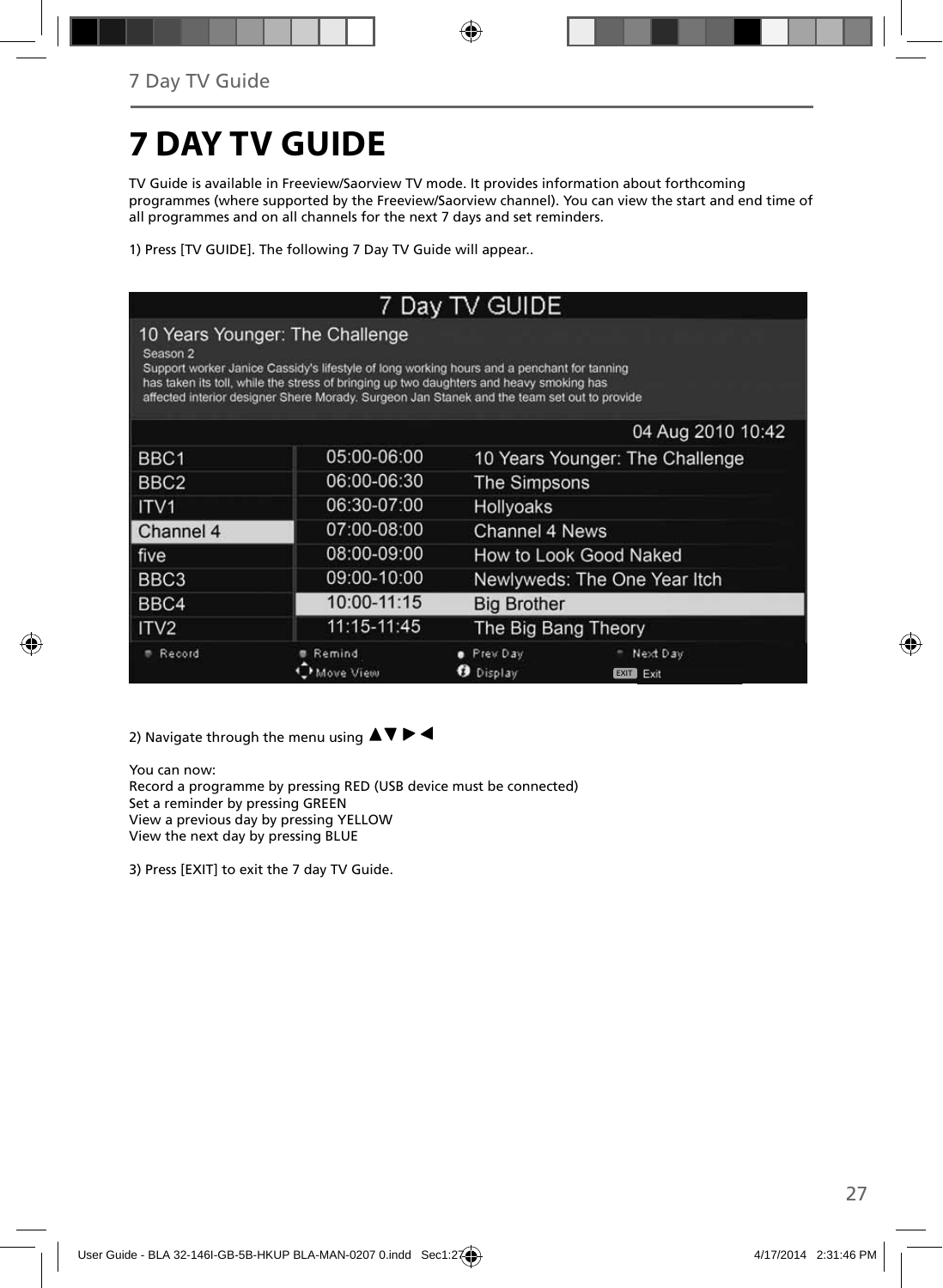# **7 DAY TV GUIDE**

TV Guide is available in Freeview/Saorview TV mode. It provides information about forthcoming programmes (where supported by the Freeview/Saorview channel). You can view the start and end time of all programmes and on all channels for the next 7 days and set reminders.

1) Press [TV GUIDE]. The following 7 Day TV Guide will appear..

| 7 Day TV GUIDE                                                                                                                                                                                                                                                                                                                      |                     |                              |                                 |  |  |
|-------------------------------------------------------------------------------------------------------------------------------------------------------------------------------------------------------------------------------------------------------------------------------------------------------------------------------------|---------------------|------------------------------|---------------------------------|--|--|
| 10 Years Younger: The Challenge<br>Season 2<br>Support worker Janice Cassidy's lifestyle of long working hours and a penchant for tanning<br>has taken its toll, while the stress of bringing up two daughters and heavy smoking has<br>affected interior designer Shere Morady. Surgeon Jan Stanek and the team set out to provide |                     |                              |                                 |  |  |
|                                                                                                                                                                                                                                                                                                                                     |                     |                              | 04 Aug 2010 10:42               |  |  |
| BBC <sub>1</sub>                                                                                                                                                                                                                                                                                                                    | 05:00-06:00         |                              | 10 Years Younger: The Challenge |  |  |
| BBC <sub>2</sub>                                                                                                                                                                                                                                                                                                                    | 06:00-06:30         | <b>The Simpsons</b>          |                                 |  |  |
| ITV <sub>1</sub>                                                                                                                                                                                                                                                                                                                    | 06:30-07:00         | Hollyoaks                    |                                 |  |  |
| Channel 4                                                                                                                                                                                                                                                                                                                           | 07:00-08:00         | Channel 4 News               |                                 |  |  |
| five                                                                                                                                                                                                                                                                                                                                | 08:00-09:00         | How to Look Good Naked       |                                 |  |  |
| BBC <sub>3</sub>                                                                                                                                                                                                                                                                                                                    | 09:00-10:00         | Newlyweds: The One Year Itch |                                 |  |  |
| BBC4                                                                                                                                                                                                                                                                                                                                | 10:00-11:15         | <b>Big Brother</b>           |                                 |  |  |
| ITV <sub>2</sub>                                                                                                                                                                                                                                                                                                                    | 11:15-11:45         | The Big Bang Theory          |                                 |  |  |
| Record                                                                                                                                                                                                                                                                                                                              | Remind<br>Move View | Prev Day<br>Display          | Next Day<br>Exit<br>EXIT        |  |  |

2) Navigate through the menu using  $\blacktriangle \blacktriangledown \blacktriangleright \blacktriangleleft$ 

You can now: Record a programme by pressing RED (USB device must be connected) Set a reminder by pressing GREEN View a previous day by pressing YELLOW View the next day by pressing BLUE

3) Press [EXIT] to exit the 7 day TV Guide.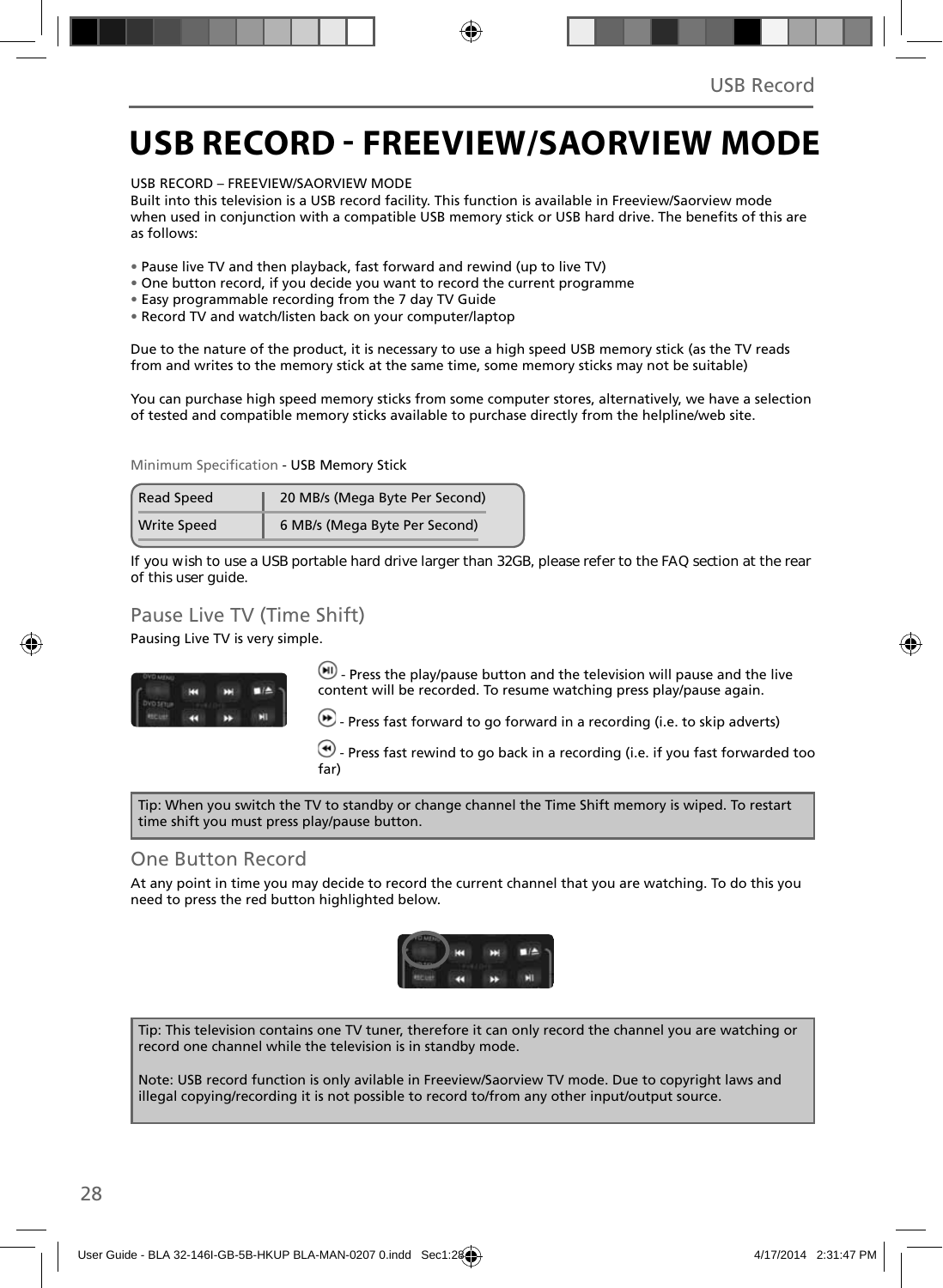### **USB RECORD - FREEVIEW/SAORVIEW MODE**

USB RECORD – FREEVIEW/SAORVIEW MODE

Built into this television is a USB record facility. This function is available in Freeview/Saorview mode when used in conjunction with a compatible USB memory stick or USB hard drive. The benefits of this are as follows:

- Pause live TV and then playback, fast forward and rewind (up to live TV)
- One button record, if you decide you want to record the current programme
- Easy programmable recording from the 7 day TV Guide
- Record TV and watch/listen back on your computer/laptop

Due to the nature of the product, it is necessary to use a high speed USB memory stick (as the TV reads from and writes to the memory stick at the same time, some memory sticks may not be suitable)

You can purchase high speed memory sticks from some computer stores, alternatively, we have a selection of tested and compatible memory sticks available to purchase directly from the helpline/web site.

Minimum Specification - USB Memory Stick

| <b>Read Speed</b>  | 20 MB/s (Mega Byte Per Second) |  |
|--------------------|--------------------------------|--|
| <b>Write Speed</b> | 6 MB/s (Mega Byte Per Second)  |  |

**If you wish to use a USB portable hard drive larger than 32GB, please refer to the FAQ section at the rear of this user guide.**

### Pause Live TV (Time Shift)

Pausing Live TV is very simple.



 $-$  Press the play/pause button and the television will pause and the live content will be recorded. To resume watching press play/pause again.

 $\bigcirc$  - Press fast forward to go forward in a recording (i.e. to skip adverts)

 $\left(\bigstar\right)$  - Press fast rewind to go back in a recording (i.e. if you fast forwarded too far)

Tip: When you switch the TV to standby or change channel the Time Shift memory is wiped. To restart time shift you must press play/pause button.

#### One Button Record

At any point in time you may decide to record the current channel that you are watching. To do this you need to press the red button highlighted below.



Tip: This television contains one TV tuner, therefore it can only record the channel you are watching or record one channel while the television is in standby mode.

Note: USB record function is only avilable in Freeview/Saorview TV mode. Due to copyright laws and illegal copying/recording it is not possible to record to/from any other input/output source.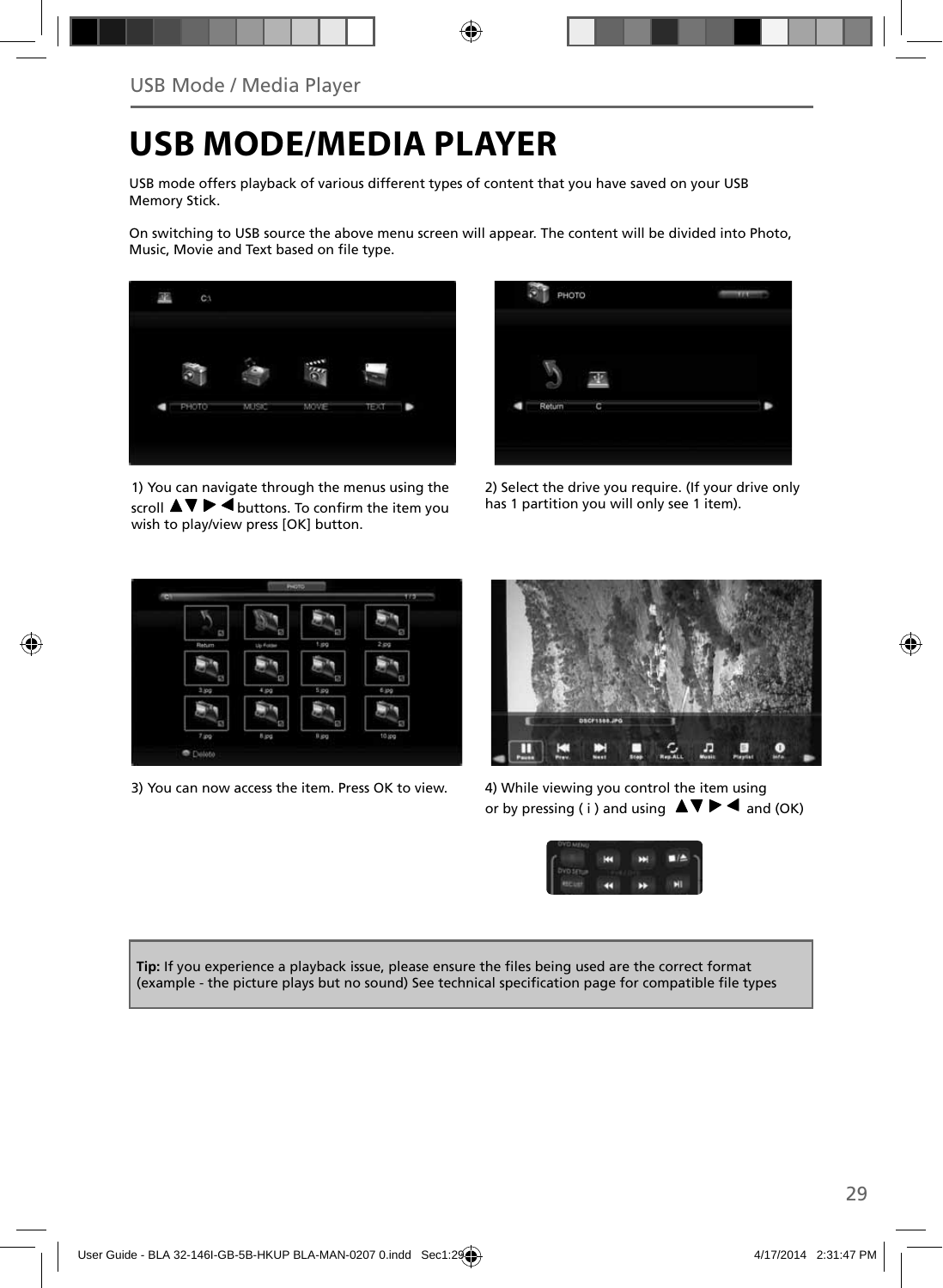## **USB MODE/MEDIA PLAYER**

USB mode offers playback of various different types of content that you have saved on your USB Memory Stick.

On switching to USB source the above menu screen will appear. The content will be divided into Photo, Music, Movie and Text based on file type.



1) You can navigate through the menus using the  $\overline{\mathsf{sr}}$   $\mathsf{m}$   $\blacktriangleright$   $\overline{\mathsf{4}}$  buttons. To confirm the item you wish to play/view press [OK] button.



2) Select the drive you require. (If your drive only has 1 partition you will only see 1 item).



3) You can now access the item. Press OK to view. 4) While viewing you control the item using



or by pressing (i) and using  $\Delta \nabla \blacktriangleright$   $\blacktriangle$  and (OK)



Tip: If you experience a playback issue, please ensure the files being used are the correct format (example - the picture plays but no sound) See technical specification page for compatible file types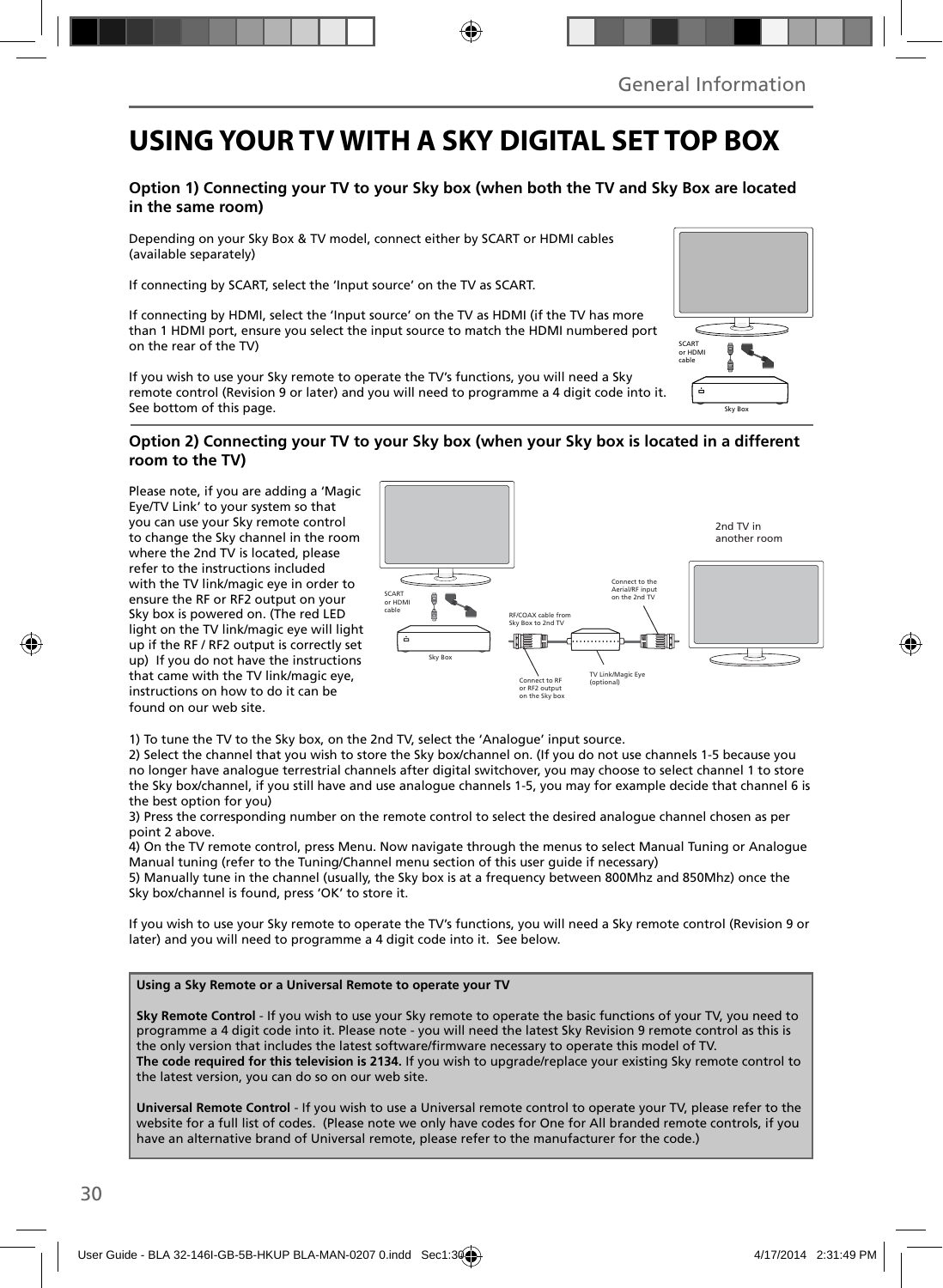### **USING YOUR TV WITH A SKY DIGITAL SET TOP BOX**

### **Option 1) Connecting your TV to your Sky box (when both the TV and Sky Box are located in the same room)**

Depending on your Sky Box & TV model, connect either by SCART or HDMI cables (available separately)

If connecting by SCART, select the 'Input source' on the TV as SCART.

If connecting by HDMI, select the 'Input source' on the TV as HDMI (if the TV has more than 1 HDMI port, ensure you select the input source to match the HDMI numbered port on the rear of the TV)

If you wish to use your Sky remote to operate the TV's functions, you will need a Sky remote control (Revision 9 or later) and you will need to programme a 4 digit code into it. See bottom of this page.

#### **Option 2) Connecting your TV to your Sky box (when your Sky box is located in a different room to the TV)**

Please note, if you are adding a 'Magic Eye/TV Link' to your system so that you can use your Sky remote control to change the Sky channel in the room where the 2nd TV is located, please refer to the instructions included with the TV link/magic eye in order to ensure the RF or RF2 output on your Sky box is powered on. (The red LED light on the TV link/magic eye will light up if the RF / RF2 output is correctly set up) If you do not have the instructions that came with the TV link/magic eye, instructions on how to do it can be found on our web site.



1) To tune the TV to the Sky box, on the 2nd TV, select the 'Analogue' input source.

2) Select the channel that you wish to store the Sky box/channel on. (If you do not use channels 1-5 because you no longer have analogue terrestrial channels after digital switchover, you may choose to select channel 1 to store the Sky box/channel, if you still have and use analogue channels 1-5, you may for example decide that channel 6 is the best option for you)

3) Press the corresponding number on the remote control to select the desired analogue channel chosen as per point 2 above.

4) On the TV remote control, press Menu. Now navigate through the menus to select Manual Tuning or Analogue Manual tuning (refer to the Tuning/Channel menu section of this user guide if necessary)

5) Manually tune in the channel (usually, the Sky box is at a frequency between 800Mhz and 850Mhz) once the Sky box/channel is found, press 'OK' to store it.

If you wish to use your Sky remote to operate the TV's functions, you will need a Sky remote control (Revision 9 or later) and you will need to programme a 4 digit code into it. See below.

#### **Using a Sky Remote or a Universal Remote to operate your TV**

**Sky Remote Control** - If you wish to use your Sky remote to operate the basic functions of your TV, you need to programme a 4 digit code into it. Please note - you will need the latest Sky Revision 9 remote control as this is the only version that includes the latest software/firmware necessary to operate this model of TV. **The code required for this television is 2134.** If you wish to upgrade/replace your existing Sky remote control to the latest version, you can do so on our web site.

**Universal Remote Control** - If you wish to use a Universal remote control to operate your TV, please refer to the website for a full list of codes. (Please note we only have codes for One for All branded remote controls, if you have an alternative brand of Universal remote, please refer to the manufacturer for the code.)

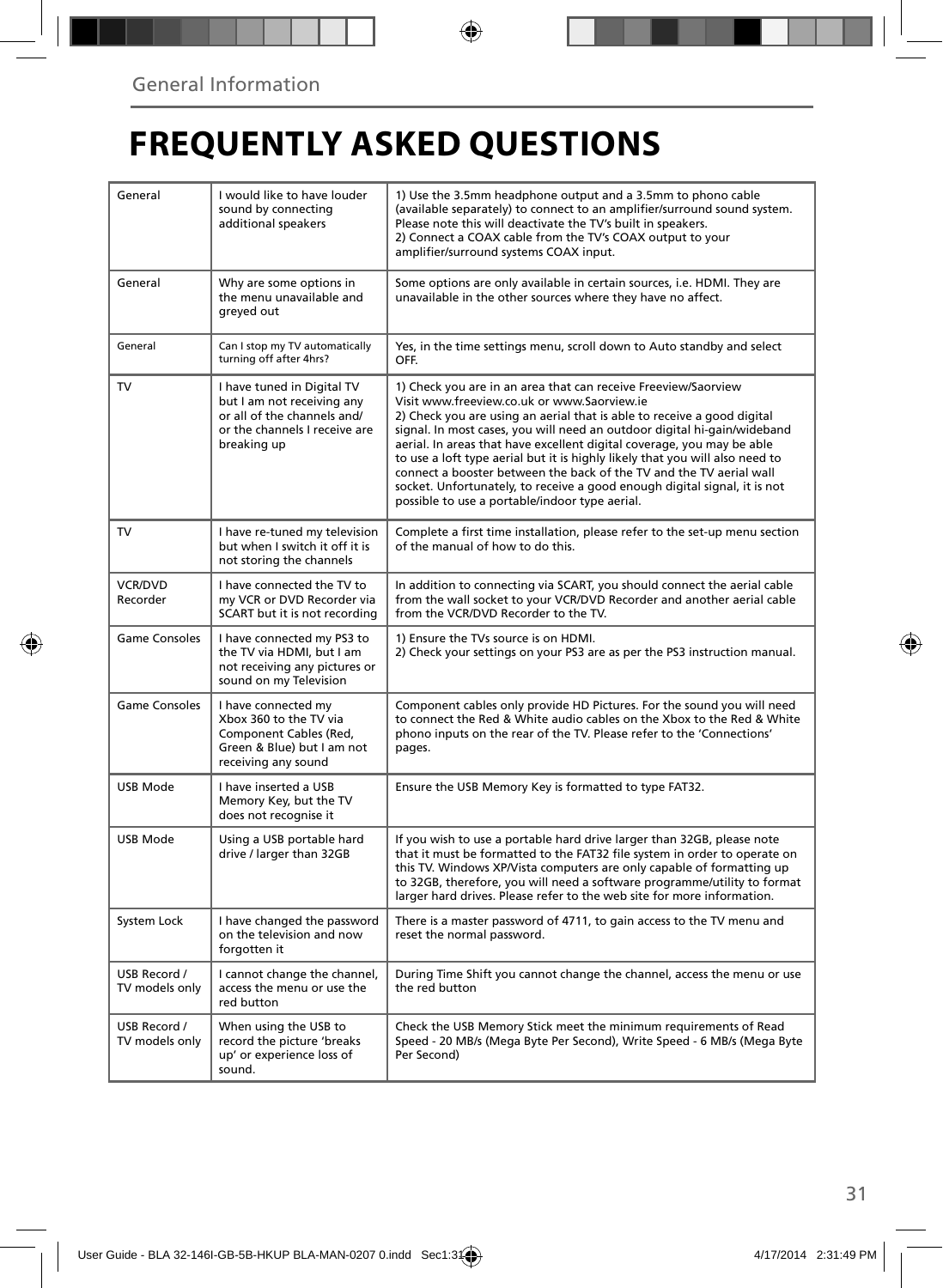## **FREQUENTLY ASKED QUESTIONS**

| General                        | I would like to have louder<br>sound by connecting<br>additional speakers                                                               | 1) Use the 3.5mm headphone output and a 3.5mm to phono cable<br>(available separately) to connect to an amplifier/surround sound system.<br>Please note this will deactivate the TV's built in speakers.<br>2) Connect a COAX cable from the TV's COAX output to your<br>amplifier/surround systems COAX input.                                                                                                                                                                                                                                                                                                                      |  |
|--------------------------------|-----------------------------------------------------------------------------------------------------------------------------------------|--------------------------------------------------------------------------------------------------------------------------------------------------------------------------------------------------------------------------------------------------------------------------------------------------------------------------------------------------------------------------------------------------------------------------------------------------------------------------------------------------------------------------------------------------------------------------------------------------------------------------------------|--|
| General                        | Why are some options in<br>the menu unavailable and<br>greyed out                                                                       | Some options are only available in certain sources, i.e. HDMI. They are<br>unavailable in the other sources where they have no affect.                                                                                                                                                                                                                                                                                                                                                                                                                                                                                               |  |
| General                        | Can I stop my TV automatically<br>turning off after 4hrs?                                                                               | Yes, in the time settings menu, scroll down to Auto standby and select<br>OFF.                                                                                                                                                                                                                                                                                                                                                                                                                                                                                                                                                       |  |
| TV                             | I have tuned in Digital TV<br>but I am not receiving any<br>or all of the channels and/<br>or the channels I receive are<br>breaking up | 1) Check you are in an area that can receive Freeview/Saorview<br>Visit www.freeview.co.uk or www.Saorview.ie<br>2) Check you are using an aerial that is able to receive a good digital<br>signal. In most cases, you will need an outdoor digital hi-gain/wideband<br>aerial. In areas that have excellent digital coverage, you may be able<br>to use a loft type aerial but it is highly likely that you will also need to<br>connect a booster between the back of the TV and the TV aerial wall<br>socket. Unfortunately, to receive a good enough digital signal, it is not<br>possible to use a portable/indoor type aerial. |  |
| TV                             | I have re-tuned my television<br>but when I switch it off it is<br>not storing the channels                                             | Complete a first time installation, please refer to the set-up menu section<br>of the manual of how to do this.                                                                                                                                                                                                                                                                                                                                                                                                                                                                                                                      |  |
| VCR/DVD<br>Recorder            | I have connected the TV to<br>my VCR or DVD Recorder via<br>SCART but it is not recording                                               | In addition to connecting via SCART, you should connect the aerial cable<br>from the wall socket to your VCR/DVD Recorder and another aerial cable<br>from the VCR/DVD Recorder to the TV.                                                                                                                                                                                                                                                                                                                                                                                                                                           |  |
| <b>Game Consoles</b>           | I have connected my PS3 to<br>the TV via HDMI, but I am<br>not receiving any pictures or<br>sound on my Television                      | 1) Ensure the TVs source is on HDMI.<br>2) Check your settings on your PS3 are as per the PS3 instruction manual.                                                                                                                                                                                                                                                                                                                                                                                                                                                                                                                    |  |
| Game Consoles                  | I have connected my<br>Xbox 360 to the TV via<br>Component Cables (Red,<br>Green & Blue) but I am not<br>receiving any sound            | Component cables only provide HD Pictures. For the sound you will need<br>to connect the Red & White audio cables on the Xbox to the Red & White<br>phono inputs on the rear of the TV. Please refer to the 'Connections'<br>pages.                                                                                                                                                                                                                                                                                                                                                                                                  |  |
| <b>USB Mode</b>                | I have inserted a USB<br>Memory Key, but the TV<br>does not recognise it                                                                | Ensure the USB Memory Key is formatted to type FAT32.                                                                                                                                                                                                                                                                                                                                                                                                                                                                                                                                                                                |  |
| USB Mode                       | Using a USB portable hard<br>drive / larger than 32GB                                                                                   | If you wish to use a portable hard drive larger than 32GB, please note<br>that it must be formatted to the FAT32 file system in order to operate on<br>this TV. Windows XP/Vista computers are only capable of formatting up<br>to 32GB, therefore, you will need a software programme/utility to format<br>larger hard drives. Please refer to the web site for more information.                                                                                                                                                                                                                                                   |  |
| System Lock                    | I have changed the password<br>on the television and now<br>forgotten it                                                                | There is a master password of 4711, to gain access to the TV menu and<br>reset the normal password.                                                                                                                                                                                                                                                                                                                                                                                                                                                                                                                                  |  |
| USB Record /<br>TV models only | I cannot change the channel,<br>access the menu or use the<br>red button                                                                | During Time Shift you cannot change the channel, access the menu or use<br>the red button                                                                                                                                                                                                                                                                                                                                                                                                                                                                                                                                            |  |
| USB Record /<br>TV models only | When using the USB to<br>record the picture 'breaks<br>up' or experience loss of<br>sound.                                              | Check the USB Memory Stick meet the minimum requirements of Read<br>Speed - 20 MB/s (Mega Byte Per Second), Write Speed - 6 MB/s (Mega Byte<br>Per Second)                                                                                                                                                                                                                                                                                                                                                                                                                                                                           |  |